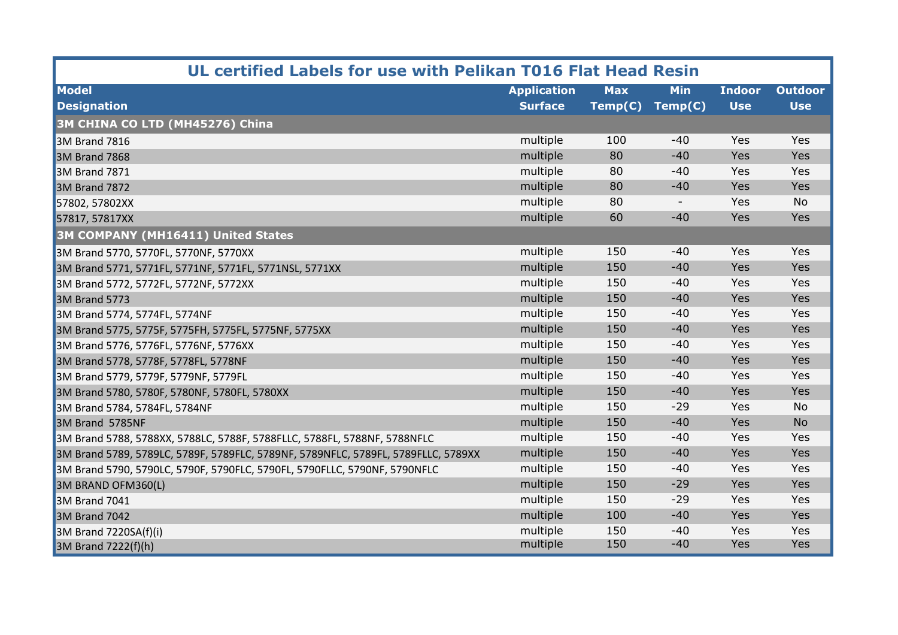| UL certified Labels for use with Pelikan T016 Flat Head Resin                     |                    |            |                          |               |                |  |  |
|-----------------------------------------------------------------------------------|--------------------|------------|--------------------------|---------------|----------------|--|--|
| <b>Model</b>                                                                      | <b>Application</b> | <b>Max</b> | <b>Min</b>               | <b>Indoor</b> | <b>Outdoor</b> |  |  |
| <b>Designation</b>                                                                | <b>Surface</b>     | Temp(C)    | Temp(C)                  | <b>Use</b>    | <b>Use</b>     |  |  |
| 3M CHINA CO LTD (MH45276) China                                                   |                    |            |                          |               |                |  |  |
| <b>3M Brand 7816</b>                                                              | multiple           | 100        | $-40$                    | Yes           | Yes            |  |  |
| <b>3M Brand 7868</b>                                                              | multiple           | 80         | $-40$                    | Yes           | Yes            |  |  |
| 3M Brand 7871                                                                     | multiple           | 80         | $-40$                    | Yes           | Yes            |  |  |
| <b>3M Brand 7872</b>                                                              | multiple           | 80         | $-40$                    | Yes           | Yes            |  |  |
| 57802, 57802XX                                                                    | multiple           | 80         | $\overline{\phantom{a}}$ | Yes           | <b>No</b>      |  |  |
| 57817, 57817XX                                                                    | multiple           | 60         | $-40$                    | Yes           | Yes            |  |  |
| <b>3M COMPANY (MH16411) United States</b>                                         |                    |            |                          |               |                |  |  |
| 3M Brand 5770, 5770FL, 5770NF, 5770XX                                             | multiple           | 150        | $-40$                    | Yes           | Yes            |  |  |
| 3M Brand 5771, 5771FL, 5771NF, 5771FL, 5771NSL, 5771XX                            | multiple           | 150        | $-40$                    | Yes           | Yes            |  |  |
| 3M Brand 5772, 5772FL, 5772NF, 5772XX                                             | multiple           | 150        | $-40$                    | Yes           | Yes            |  |  |
| <b>3M Brand 5773</b>                                                              | multiple           | 150        | $-40$                    | Yes           | Yes            |  |  |
| 3M Brand 5774, 5774FL, 5774NF                                                     | multiple           | 150        | $-40$                    | Yes           | Yes            |  |  |
| 3M Brand 5775, 5775F, 5775FH, 5775FL, 5775NF, 5775XX                              | multiple           | 150        | $-40$                    | Yes           | Yes            |  |  |
| 3M Brand 5776, 5776FL, 5776NF, 5776XX                                             | multiple           | 150        | $-40$                    | Yes           | Yes            |  |  |
| 3M Brand 5778, 5778F, 5778FL, 5778NF                                              | multiple           | 150        | $-40$                    | Yes           | Yes            |  |  |
| 3M Brand 5779, 5779F, 5779NF, 5779FL                                              | multiple           | 150        | $-40$                    | Yes           | Yes            |  |  |
| 3M Brand 5780, 5780F, 5780NF, 5780FL, 5780XX                                      | multiple           | 150        | $-40$                    | Yes           | Yes            |  |  |
| 3M Brand 5784, 5784FL, 5784NF                                                     | multiple           | 150        | $-29$                    | Yes           | No             |  |  |
| 3M Brand 5785NF                                                                   | multiple           | 150        | $-40$                    | Yes           | <b>No</b>      |  |  |
| 3M Brand 5788, 5788XX, 5788LC, 5788F, 5788FLLC, 5788FL, 5788NF, 5788NFLC          | multiple           | 150        | $-40$                    | Yes           | Yes            |  |  |
| 3M Brand 5789, 5789LC, 5789F, 5789FLC, 5789NF, 5789NFLC, 5789FL, 5789FLLC, 5789XX | multiple           | 150        | $-40$                    | Yes           | Yes            |  |  |
| 3M Brand 5790, 5790LC, 5790F, 5790FLC, 5790FL, 5790FLLC, 5790NF, 5790NFLC         | multiple           | 150        | $-40$                    | Yes           | Yes            |  |  |
| 3M BRAND OFM360(L)                                                                | multiple           | 150        | $-29$                    | Yes           | <b>Yes</b>     |  |  |
| <b>3M Brand 7041</b>                                                              | multiple           | 150        | $-29$                    | Yes           | Yes            |  |  |
| <b>3M Brand 7042</b>                                                              | multiple           | 100        | $-40$                    | Yes           | Yes            |  |  |
| 3M Brand 7220SA(f)(i)                                                             | multiple           | 150        | $-40$                    | Yes           | Yes            |  |  |
| $3M$ Brand 7222(f)(h)                                                             | multiple           | 150        | $-40$                    | Yes           | Yes            |  |  |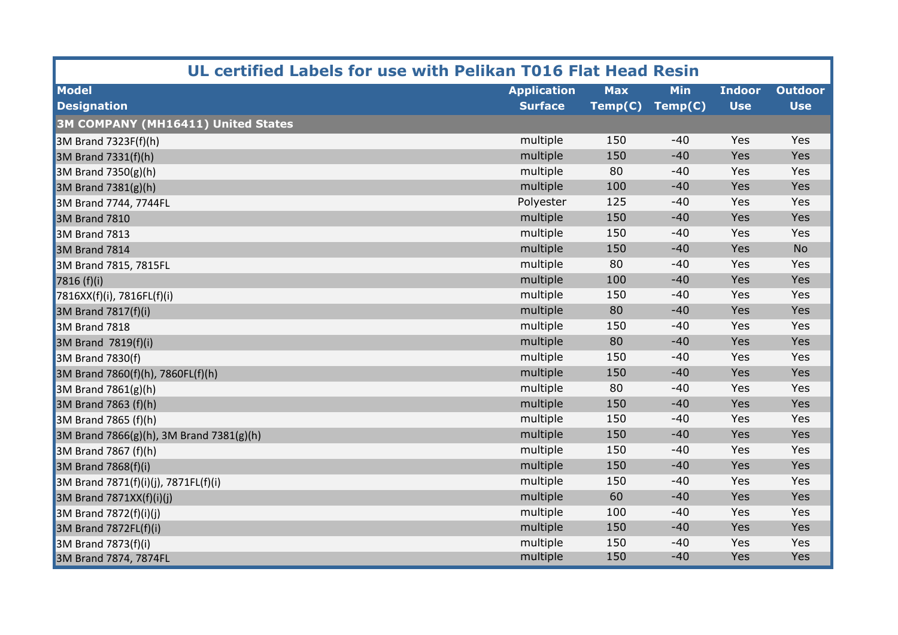| UL certified Labels for use with Pelikan T016 Flat Head Resin |                    |            |            |               |                |  |
|---------------------------------------------------------------|--------------------|------------|------------|---------------|----------------|--|
| <b>Model</b>                                                  | <b>Application</b> | <b>Max</b> | <b>Min</b> | <b>Indoor</b> | <b>Outdoor</b> |  |
| <b>Designation</b>                                            | <b>Surface</b>     | Temp(C)    | Temp(C)    | <b>Use</b>    | <b>Use</b>     |  |
| 3M COMPANY (MH16411) United States                            |                    |            |            |               |                |  |
| $3M$ Brand 7323F(f)(h)                                        | multiple           | 150        | $-40$      | Yes           | Yes            |  |
| $3M$ Brand 7331(f)(h)                                         | multiple           | 150        | $-40$      | Yes           | Yes            |  |
| $3M$ Brand 7350(g)(h)                                         | multiple           | 80         | $-40$      | Yes           | Yes            |  |
| 3M Brand $7381(g)(h)$                                         | multiple           | 100        | $-40$      | Yes           | Yes            |  |
| 3M Brand 7744, 7744FL                                         | Polyester          | 125        | $-40$      | Yes           | Yes            |  |
| <b>3M Brand 7810</b>                                          | multiple           | 150        | $-40$      | Yes           | Yes            |  |
| <b>3M Brand 7813</b>                                          | multiple           | 150        | $-40$      | Yes           | Yes            |  |
| 3M Brand 7814                                                 | multiple           | 150        | $-40$      | Yes           | <b>No</b>      |  |
| 3M Brand 7815, 7815FL                                         | multiple           | 80         | $-40$      | Yes           | Yes            |  |
| 7816(f)(i)                                                    | multiple           | 100        | $-40$      | Yes           | Yes            |  |
| 7816XX(f)(i), 7816FL(f)(i)                                    | multiple           | 150        | $-40$      | Yes           | Yes            |  |
| 3M Brand 7817(f)(i)                                           | multiple           | 80         | $-40$      | Yes           | Yes            |  |
| <b>3M Brand 7818</b>                                          | multiple           | 150        | $-40$      | Yes           | Yes            |  |
| 3M Brand 7819(f)(i)                                           | multiple           | 80         | $-40$      | Yes           | Yes            |  |
| 3M Brand 7830(f)                                              | multiple           | 150        | $-40$      | Yes           | Yes            |  |
| 3M Brand 7860(f)(h), 7860FL(f)(h)                             | multiple           | 150        | $-40$      | Yes           | Yes            |  |
| 3M Brand $7861(g)(h)$                                         | multiple           | 80         | $-40$      | Yes           | Yes            |  |
| 3M Brand 7863 (f)(h)                                          | multiple           | 150        | $-40$      | Yes           | Yes            |  |
| 3M Brand 7865 (f)(h)                                          | multiple           | 150        | $-40$      | Yes           | Yes            |  |
| 3M Brand 7866(g)(h), 3M Brand 7381(g)(h)                      | multiple           | 150        | $-40$      | Yes           | Yes            |  |
| $\vert$ 3M Brand 7867 (f)(h)                                  | multiple           | 150        | $-40$      | Yes           | Yes            |  |
| 3M Brand 7868(f)(i)                                           | multiple           | 150        | $-40$      | Yes           | Yes            |  |
| 3M Brand 7871(f)(i)(j), 7871FL(f)(i)                          | multiple           | 150        | $-40$      | Yes           | Yes            |  |
| $\vert$ 3M Brand 7871XX(f)(i)(j)                              | multiple           | 60         | $-40$      | Yes           | Yes            |  |
| 3M Brand $7872(f)(i)(j)$                                      | multiple           | 100        | $-40$      | Yes           | Yes            |  |
| $3M$ Brand 7872FL(f)(i)                                       | multiple           | 150        | $-40$      | Yes           | Yes            |  |
| $\vert$ 3M Brand 7873(f)(i)                                   | multiple           | 150        | $-40$      | Yes           | Yes            |  |
| 3M Brand 7874, 7874FL                                         | multiple           | 150        | $-40$      | Yes           | Yes            |  |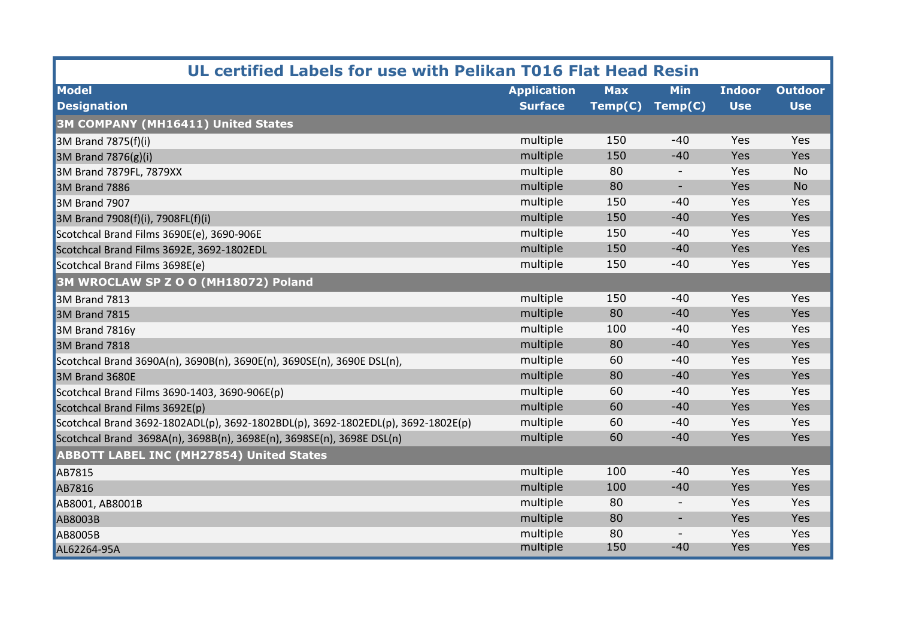| UL certified Labels for use with Pelikan T016 Flat Head Resin                    |                    |            |                          |               |                |  |  |
|----------------------------------------------------------------------------------|--------------------|------------|--------------------------|---------------|----------------|--|--|
| <b>Model</b>                                                                     | <b>Application</b> | <b>Max</b> | <b>Min</b>               | <b>Indoor</b> | <b>Outdoor</b> |  |  |
| <b>Designation</b>                                                               | <b>Surface</b>     | Temp(C)    | Temp(C)                  | <b>Use</b>    | <b>Use</b>     |  |  |
| 3M COMPANY (MH16411) United States                                               |                    |            |                          |               |                |  |  |
| 3M Brand 7875(f)(i)                                                              | multiple           | 150        | $-40$                    | Yes           | Yes            |  |  |
| $3M$ Brand 7876(g)(i)                                                            | multiple           | 150        | $-40$                    | Yes           | Yes            |  |  |
| 3M Brand 7879FL, 7879XX                                                          | multiple           | 80         | $\overline{\phantom{a}}$ | Yes           | <b>No</b>      |  |  |
| 3M Brand 7886                                                                    | multiple           | 80         | $\overline{\phantom{a}}$ | Yes           | <b>No</b>      |  |  |
| 3M Brand 7907                                                                    | multiple           | 150        | $-40$                    | Yes           | Yes            |  |  |
| 3M Brand 7908(f)(i), 7908FL(f)(i)                                                | multiple           | 150        | $-40$                    | Yes           | Yes            |  |  |
| Scotchcal Brand Films 3690E(e), 3690-906E                                        | multiple           | 150        | $-40$                    | Yes           | Yes            |  |  |
| Scotchcal Brand Films 3692E, 3692-1802EDL                                        | multiple           | 150        | $-40$                    | Yes           | Yes            |  |  |
| Scotchcal Brand Films 3698E(e)                                                   | multiple           | 150        | $-40$                    | Yes           | Yes            |  |  |
| 3M WROCLAW SP Z O O (MH18072) Poland                                             |                    |            |                          |               |                |  |  |
| <b>3M Brand 7813</b>                                                             | multiple           | 150        | $-40$                    | Yes           | Yes            |  |  |
| <b>3M Brand 7815</b>                                                             | multiple           | 80         | $-40$                    | Yes           | Yes            |  |  |
| 3M Brand 7816y                                                                   | multiple           | 100        | $-40$                    | Yes           | Yes            |  |  |
| <b>3M Brand 7818</b>                                                             | multiple           | 80         | $-40$                    | Yes           | Yes            |  |  |
| Scotchcal Brand 3690A(n), 3690B(n), 3690E(n), 3690SE(n), 3690E DSL(n),           | multiple           | 60         | $-40$                    | Yes           | Yes            |  |  |
| 3M Brand 3680E                                                                   | multiple           | 80         | $-40$                    | Yes           | Yes            |  |  |
| Scotchcal Brand Films 3690-1403, 3690-906E(p)                                    | multiple           | 60         | $-40$                    | Yes           | Yes            |  |  |
| Scotchcal Brand Films 3692E(p)                                                   | multiple           | 60         | $-40$                    | Yes           | Yes            |  |  |
| Scotchcal Brand 3692-1802ADL(p), 3692-1802BDL(p), 3692-1802EDL(p), 3692-1802E(p) | multiple           | 60         | $-40$                    | Yes           | Yes            |  |  |
| Scotchcal Brand 3698A(n), 3698B(n), 3698E(n), 3698SE(n), 3698E DSL(n)            | multiple           | 60         | $-40$                    | Yes           | Yes            |  |  |
| <b>ABBOTT LABEL INC (MH27854) United States</b>                                  |                    |            |                          |               |                |  |  |
| <b>AB7815</b>                                                                    | multiple           | 100        | $-40$                    | Yes           | Yes            |  |  |
| AB7816                                                                           | multiple           | 100        | $-40$                    | Yes           | Yes            |  |  |
| AB8001, AB8001B                                                                  | multiple           | 80         | $\overline{\phantom{a}}$ | Yes           | Yes            |  |  |
| <b>AB8003B</b>                                                                   | multiple           | 80         | $\overline{\phantom{a}}$ | Yes           | Yes            |  |  |
| <b>AB8005B</b>                                                                   | multiple           | 80         | $\overline{\phantom{a}}$ | Yes           | Yes            |  |  |
| AL62264-95A                                                                      | multiple           | 150        | $-40$                    | Yes           | Yes            |  |  |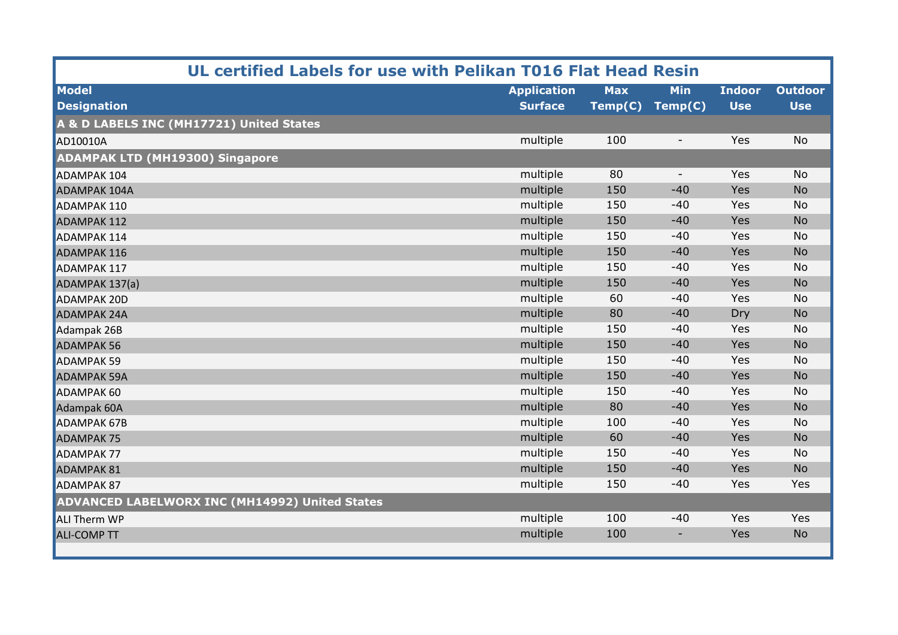| UL certified Labels for use with Pelikan T016 Flat Head Resin |                    |            |                          |               |                |  |  |
|---------------------------------------------------------------|--------------------|------------|--------------------------|---------------|----------------|--|--|
| <b>Model</b>                                                  | <b>Application</b> | <b>Max</b> | <b>Min</b>               | <b>Indoor</b> | <b>Outdoor</b> |  |  |
| <b>Designation</b>                                            | <b>Surface</b>     | Temp(C)    | Temp(C)                  | <b>Use</b>    | <b>Use</b>     |  |  |
| A & D LABELS INC (MH17721) United States                      |                    |            |                          |               |                |  |  |
| AD10010A                                                      | multiple           | 100        | $\sim$                   | Yes           | <b>No</b>      |  |  |
| <b>ADAMPAK LTD (MH19300) Singapore</b>                        |                    |            |                          |               |                |  |  |
| <b>ADAMPAK 104</b>                                            | multiple           | 80         | $\overline{\phantom{a}}$ | Yes           | <b>No</b>      |  |  |
| <b>ADAMPAK 104A</b>                                           | multiple           | 150        | $-40$                    | Yes           | <b>No</b>      |  |  |
| <b>ADAMPAK 110</b>                                            | multiple           | 150        | $-40$                    | Yes           | <b>No</b>      |  |  |
| <b>ADAMPAK 112</b>                                            | multiple           | 150        | $-40$                    | Yes           | <b>No</b>      |  |  |
| <b>ADAMPAK 114</b>                                            | multiple           | 150        | $-40$                    | Yes           | <b>No</b>      |  |  |
| <b>ADAMPAK 116</b>                                            | multiple           | 150        | $-40$                    | Yes           | <b>No</b>      |  |  |
| <b>ADAMPAK 117</b>                                            | multiple           | 150        | $-40$                    | Yes           | <b>No</b>      |  |  |
| ADAMPAK 137(a)                                                | multiple           | 150        | $-40$                    | Yes           | <b>No</b>      |  |  |
| <b>ADAMPAK 20D</b>                                            | multiple           | 60         | $-40$                    | Yes           | <b>No</b>      |  |  |
| <b>ADAMPAK 24A</b>                                            | multiple           | 80         | $-40$                    | Dry           | <b>No</b>      |  |  |
| Adampak 26B                                                   | multiple           | 150        | $-40$                    | Yes           | <b>No</b>      |  |  |
| <b>ADAMPAK 56</b>                                             | multiple           | 150        | $-40$                    | Yes           | <b>No</b>      |  |  |
| <b>ADAMPAK 59</b>                                             | multiple           | 150        | $-40$                    | Yes           | <b>No</b>      |  |  |
| <b>ADAMPAK 59A</b>                                            | multiple           | 150        | $-40$                    | Yes           | <b>No</b>      |  |  |
| <b>ADAMPAK 60</b>                                             | multiple           | 150        | $-40$                    | Yes           | <b>No</b>      |  |  |
| Adampak 60A                                                   | multiple           | 80         | $-40$                    | Yes           | <b>No</b>      |  |  |
| <b>ADAMPAK 67B</b>                                            | multiple           | 100        | $-40$                    | Yes           | <b>No</b>      |  |  |
| <b>ADAMPAK 75</b>                                             | multiple           | 60         | $-40$                    | Yes           | <b>No</b>      |  |  |
| <b>ADAMPAK 77</b>                                             | multiple           | 150        | $-40$                    | Yes           | <b>No</b>      |  |  |
| <b>ADAMPAK 81</b>                                             | multiple           | 150        | $-40$                    | Yes           | <b>No</b>      |  |  |
| <b>ADAMPAK 87</b>                                             | multiple           | 150        | $-40$                    | Yes           | Yes            |  |  |
| <b>ADVANCED LABELWORX INC (MH14992) United States</b>         |                    |            |                          |               |                |  |  |
| <b>ALI Therm WP</b>                                           | multiple           | 100        | $-40$                    | Yes           | Yes            |  |  |
| <b>ALI-COMP TT</b>                                            | multiple           | 100        | ۰                        | Yes           | <b>No</b>      |  |  |
|                                                               |                    |            |                          |               |                |  |  |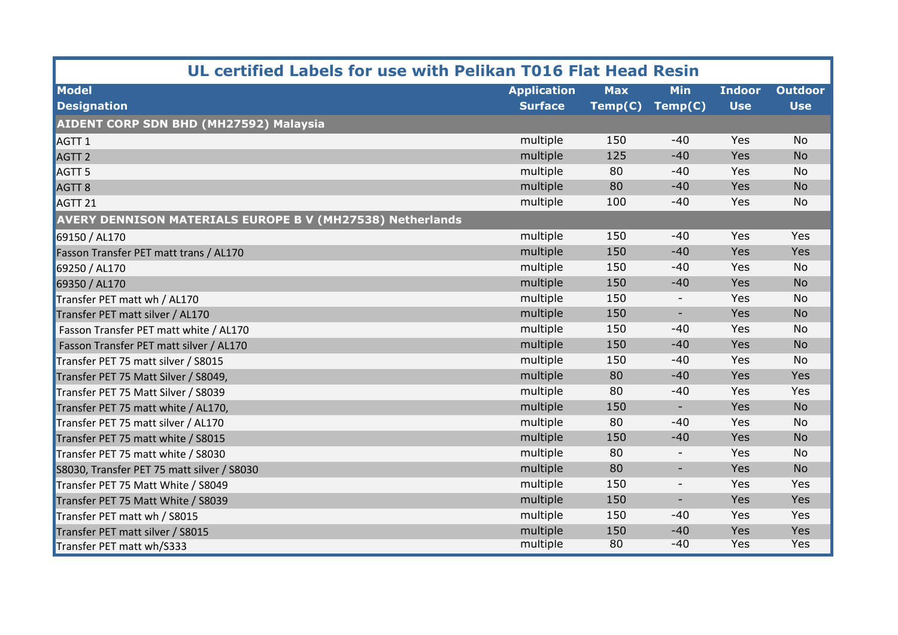| UL certified Labels for use with Pelikan T016 Flat Head Resin    |                    |            |                          |               |                |  |  |  |
|------------------------------------------------------------------|--------------------|------------|--------------------------|---------------|----------------|--|--|--|
| <b>Model</b>                                                     | <b>Application</b> | <b>Max</b> | <b>Min</b>               | <b>Indoor</b> | <b>Outdoor</b> |  |  |  |
| <b>Designation</b>                                               | <b>Surface</b>     | Temp(C)    | Temp(C)                  | <b>Use</b>    | <b>Use</b>     |  |  |  |
| AIDENT CORP SDN BHD (MH27592) Malaysia                           |                    |            |                          |               |                |  |  |  |
| AGTT <sub>1</sub>                                                | multiple           | 150        | $-40$                    | Yes           | <b>No</b>      |  |  |  |
| AGTT <sub>2</sub>                                                | multiple           | 125        | $-40$                    | Yes           | <b>No</b>      |  |  |  |
| AGTT <sub>5</sub>                                                | multiple           | 80         | $-40$                    | Yes           | <b>No</b>      |  |  |  |
| AGTT <sub>8</sub>                                                | multiple           | 80         | $-40$                    | Yes           | <b>No</b>      |  |  |  |
| AGTT <sub>21</sub>                                               | multiple           | 100        | $-40$                    | Yes           | <b>No</b>      |  |  |  |
| <b>AVERY DENNISON MATERIALS EUROPE B V (MH27538) Netherlands</b> |                    |            |                          |               |                |  |  |  |
| 69150 / AL170                                                    | multiple           | 150        | $-40$                    | Yes           | Yes            |  |  |  |
| Fasson Transfer PET matt trans / AL170                           | multiple           | 150        | $-40$                    | Yes           | Yes            |  |  |  |
| 69250 / AL170                                                    | multiple           | 150        | $-40$                    | Yes           | <b>No</b>      |  |  |  |
| 69350 / AL170                                                    | multiple           | 150        | $-40$                    | Yes           | <b>No</b>      |  |  |  |
| Transfer PET matt wh / AL170                                     | multiple           | 150        |                          | Yes           | <b>No</b>      |  |  |  |
| Transfer PET matt silver / AL170                                 | multiple           | 150        | $\overline{\phantom{a}}$ | Yes           | <b>No</b>      |  |  |  |
| Fasson Transfer PET matt white / AL170                           | multiple           | 150        | $-40$                    | Yes           | <b>No</b>      |  |  |  |
| Fasson Transfer PET matt silver / AL170                          | multiple           | 150        | $-40$                    | Yes           | <b>No</b>      |  |  |  |
| Transfer PET 75 matt silver / S8015                              | multiple           | 150        | $-40$                    | Yes           | <b>No</b>      |  |  |  |
| Transfer PET 75 Matt Silver / S8049,                             | multiple           | 80         | $-40$                    | Yes           | Yes            |  |  |  |
| Transfer PET 75 Matt Silver / S8039                              | multiple           | 80         | $-40$                    | Yes           | Yes            |  |  |  |
| Transfer PET 75 matt white / AL170,                              | multiple           | 150        | $\overline{\phantom{a}}$ | Yes           | <b>No</b>      |  |  |  |
| Transfer PET 75 matt silver / AL170                              | multiple           | 80         | $-40$                    | Yes           | <b>No</b>      |  |  |  |
| Transfer PET 75 matt white / S8015                               | multiple           | 150        | $-40$                    | Yes           | <b>No</b>      |  |  |  |
| Transfer PET 75 matt white / S8030                               | multiple           | 80         | $\overline{\phantom{a}}$ | Yes           | <b>No</b>      |  |  |  |
| S8030, Transfer PET 75 matt silver / S8030                       | multiple           | 80         | $\overline{\phantom{a}}$ | Yes           | <b>No</b>      |  |  |  |
| Transfer PET 75 Matt White / S8049                               | multiple           | 150        | $\overline{\phantom{a}}$ | Yes           | Yes            |  |  |  |
| Transfer PET 75 Matt White / S8039                               | multiple           | 150        | $\overline{\phantom{a}}$ | Yes           | Yes            |  |  |  |
| Transfer PET matt wh / S8015                                     | multiple           | 150        | $-40$                    | Yes           | Yes            |  |  |  |
| Transfer PET matt silver / S8015                                 | multiple           | 150        | $-40$                    | Yes           | Yes            |  |  |  |
| Transfer PET matt wh/S333                                        | multiple           | 80         | $-40$                    | <b>Yes</b>    | <b>Yes</b>     |  |  |  |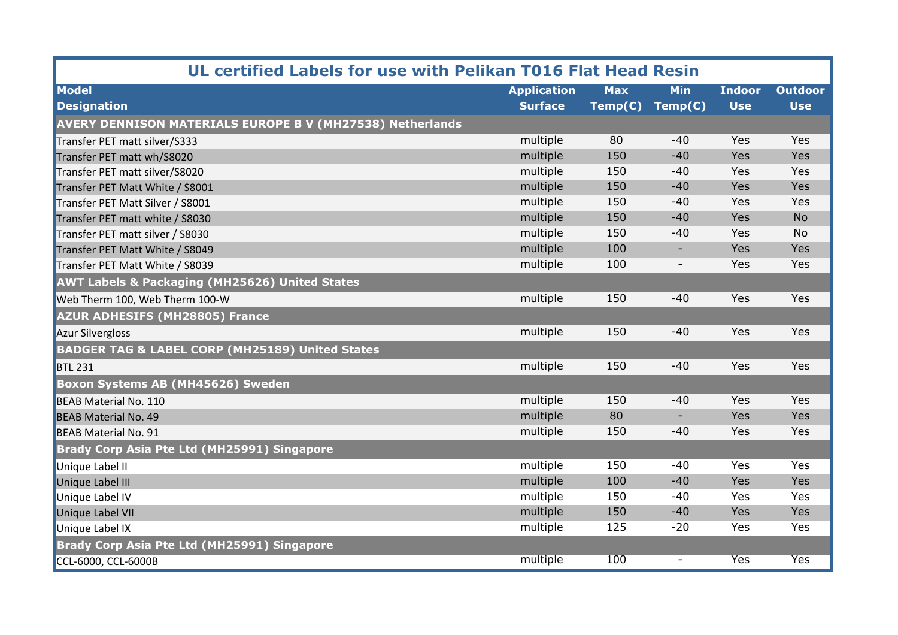| UL certified Labels for use with Pelikan T016 Flat Head Resin    |                    |            |                          |               |                |  |  |
|------------------------------------------------------------------|--------------------|------------|--------------------------|---------------|----------------|--|--|
| <b>Model</b>                                                     | <b>Application</b> | <b>Max</b> | <b>Min</b>               | <b>Indoor</b> | <b>Outdoor</b> |  |  |
| <b>Designation</b>                                               | <b>Surface</b>     | Temp(C)    | Temp(C)                  | <b>Use</b>    | <b>Use</b>     |  |  |
| <b>AVERY DENNISON MATERIALS EUROPE B V (MH27538) Netherlands</b> |                    |            |                          |               |                |  |  |
| Transfer PET matt silver/S333                                    | multiple           | 80         | $-40$                    | Yes           | Yes            |  |  |
| Transfer PET matt wh/S8020                                       | multiple           | 150        | $-40$                    | Yes           | Yes            |  |  |
| Transfer PET matt silver/S8020                                   | multiple           | 150        | $-40$                    | Yes           | Yes            |  |  |
| Transfer PET Matt White / S8001                                  | multiple           | 150        | $-40$                    | Yes           | Yes            |  |  |
| Transfer PET Matt Silver / S8001                                 | multiple           | 150        | $-40$                    | Yes           | Yes            |  |  |
| Transfer PET matt white / S8030                                  | multiple           | 150        | $-40$                    | Yes           | <b>No</b>      |  |  |
| Transfer PET matt silver / S8030                                 | multiple           | 150        | $-40$                    | Yes           | No             |  |  |
| Transfer PET Matt White / S8049                                  | multiple           | 100        | $\overline{\phantom{a}}$ | Yes           | Yes            |  |  |
| Transfer PET Matt White / S8039                                  | multiple           | 100        | $\overline{\phantom{a}}$ | Yes           | Yes            |  |  |
| <b>AWT Labels &amp; Packaging (MH25626) United States</b>        |                    |            |                          |               |                |  |  |
| Web Therm 100, Web Therm 100-W                                   | multiple           | 150        | $-40$                    | Yes           | Yes            |  |  |
| <b>AZUR ADHESIFS (MH28805) France</b>                            |                    |            |                          |               |                |  |  |
| <b>Azur Silvergloss</b>                                          | multiple           | 150        | $-40$                    | Yes           | Yes            |  |  |
| <b>BADGER TAG &amp; LABEL CORP (MH25189) United States</b>       |                    |            |                          |               |                |  |  |
| <b>BTL 231</b>                                                   | multiple           | 150        | $-40$                    | Yes           | Yes            |  |  |
| <b>Boxon Systems AB (MH45626) Sweden</b>                         |                    |            |                          |               |                |  |  |
| <b>BEAB Material No. 110</b>                                     | multiple           | 150        | $-40$                    | Yes           | Yes            |  |  |
| <b>BEAB Material No. 49</b>                                      | multiple           | 80         | $\overline{\phantom{a}}$ | Yes           | Yes            |  |  |
| <b>BEAB Material No. 91</b>                                      | multiple           | 150        | $-40$                    | Yes           | Yes            |  |  |
| <b>Brady Corp Asia Pte Ltd (MH25991) Singapore</b>               |                    |            |                          |               |                |  |  |
| Unique Label II                                                  | multiple           | 150        | $-40$                    | Yes           | Yes            |  |  |
| <b>Unique Label III</b>                                          | multiple           | 100        | $-40$                    | Yes           | Yes            |  |  |
| Unique Label IV                                                  | multiple           | 150        | $-40$                    | Yes           | Yes            |  |  |
| Unique Label VII                                                 | multiple           | 150        | $-40$                    | Yes           | Yes            |  |  |
| Unique Label IX                                                  | multiple           | 125        | $-20$                    | Yes           | Yes            |  |  |
| Brady Corp Asia Pte Ltd (MH25991) Singapore                      |                    |            |                          |               |                |  |  |
| CCL-6000, CCL-6000B                                              | multiple           | 100        | $\overline{\phantom{a}}$ | <b>Yes</b>    | <b>Yes</b>     |  |  |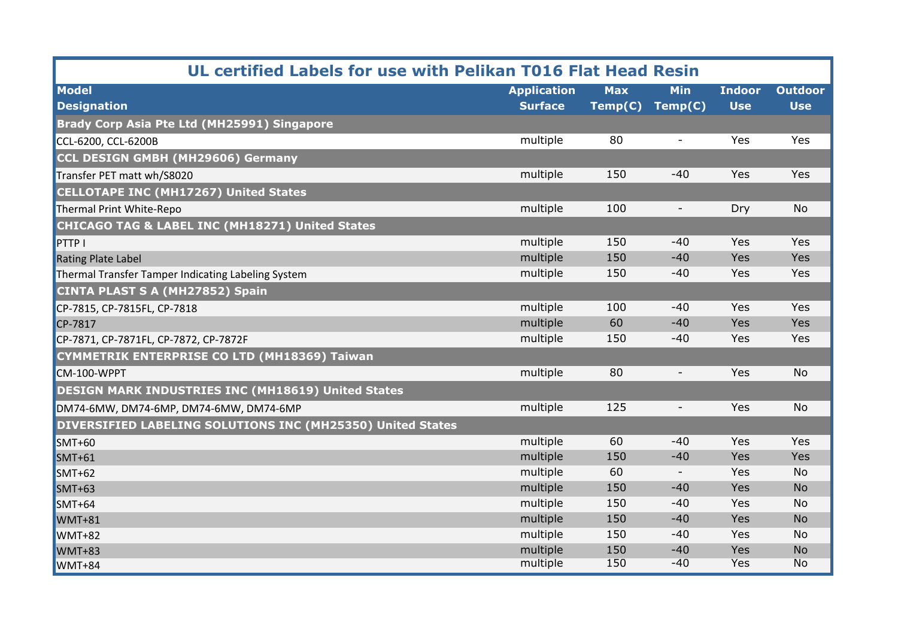| UL certified Labels for use with Pelikan T016 Flat Head Resin |                    |            |                          |               |                |  |
|---------------------------------------------------------------|--------------------|------------|--------------------------|---------------|----------------|--|
| <b>Model</b>                                                  | <b>Application</b> | <b>Max</b> | <b>Min</b>               | <b>Indoor</b> | <b>Outdoor</b> |  |
| <b>Designation</b>                                            | <b>Surface</b>     | Temp(C)    | Temp(C)                  | <b>Use</b>    | <b>Use</b>     |  |
| Brady Corp Asia Pte Ltd (MH25991) Singapore                   |                    |            |                          |               |                |  |
| CCL-6200, CCL-6200B                                           | multiple           | 80         | $\overline{\phantom{a}}$ | Yes           | Yes            |  |
| <b>CCL DESIGN GMBH (MH29606) Germany</b>                      |                    |            |                          |               |                |  |
| Transfer PET matt wh/S8020                                    | multiple           | 150        | $-40$                    | Yes           | Yes            |  |
| <b>CELLOTAPE INC (MH17267) United States</b>                  |                    |            |                          |               |                |  |
| Thermal Print White-Repo                                      | multiple           | 100        | $\overline{\phantom{a}}$ | Dry           | <b>No</b>      |  |
| <b>CHICAGO TAG &amp; LABEL INC (MH18271) United States</b>    |                    |            |                          |               |                |  |
| <b>PTTPI</b>                                                  | multiple           | 150        | $-40$                    | Yes           | Yes            |  |
| <b>Rating Plate Label</b>                                     | multiple           | 150        | $-40$                    | Yes           | Yes            |  |
| Thermal Transfer Tamper Indicating Labeling System            | multiple           | 150        | $-40$                    | Yes           | Yes            |  |
| <b>CINTA PLAST S A (MH27852) Spain</b>                        |                    |            |                          |               |                |  |
| CP-7815, CP-7815FL, CP-7818                                   | multiple           | 100        | $-40$                    | Yes           | Yes            |  |
| CP-7817                                                       | multiple           | 60         | $-40$                    | Yes           | Yes            |  |
| CP-7871, CP-7871FL, CP-7872, CP-7872F                         | multiple           | 150        | $-40$                    | Yes           | Yes            |  |
| <b>CYMMETRIK ENTERPRISE CO LTD (MH18369) Taiwan</b>           |                    |            |                          |               |                |  |
| CM-100-WPPT                                                   | multiple           | 80         | $\overline{\phantom{a}}$ | Yes           | <b>No</b>      |  |
| <b>DESIGN MARK INDUSTRIES INC (MH18619) United States</b>     |                    |            |                          |               |                |  |
| DM74-6MW, DM74-6MP, DM74-6MW, DM74-6MP                        | multiple           | 125        | $\overline{\phantom{a}}$ | Yes           | <b>No</b>      |  |
| DIVERSIFIED LABELING SOLUTIONS INC (MH25350) United States    |                    |            |                          |               |                |  |
| $SMT+60$                                                      | multiple           | 60         | $-40$                    | Yes           | Yes            |  |
| $SMT+61$                                                      | multiple           | 150        | $-40$                    | Yes           | Yes            |  |
| $SMT+62$                                                      | multiple           | 60         | $\overline{\phantom{a}}$ | Yes           | <b>No</b>      |  |
| <b>SMT+63</b>                                                 | multiple           | 150        | $-40$                    | Yes           | <b>No</b>      |  |
| $SMT+64$                                                      | multiple           | 150        | $-40$                    | Yes           | <b>No</b>      |  |
| <b>WMT+81</b>                                                 | multiple           | 150        | $-40$                    | Yes           | <b>No</b>      |  |
| <b>WMT+82</b>                                                 | multiple           | 150        | $-40$                    | Yes           | <b>No</b>      |  |
| <b>WMT+83</b>                                                 | multiple           | 150        | $-40$                    | Yes           | <b>No</b>      |  |
| <b>WMT+84</b>                                                 | multiple           | 150        | $-40$                    | <b>Yes</b>    | <b>No</b>      |  |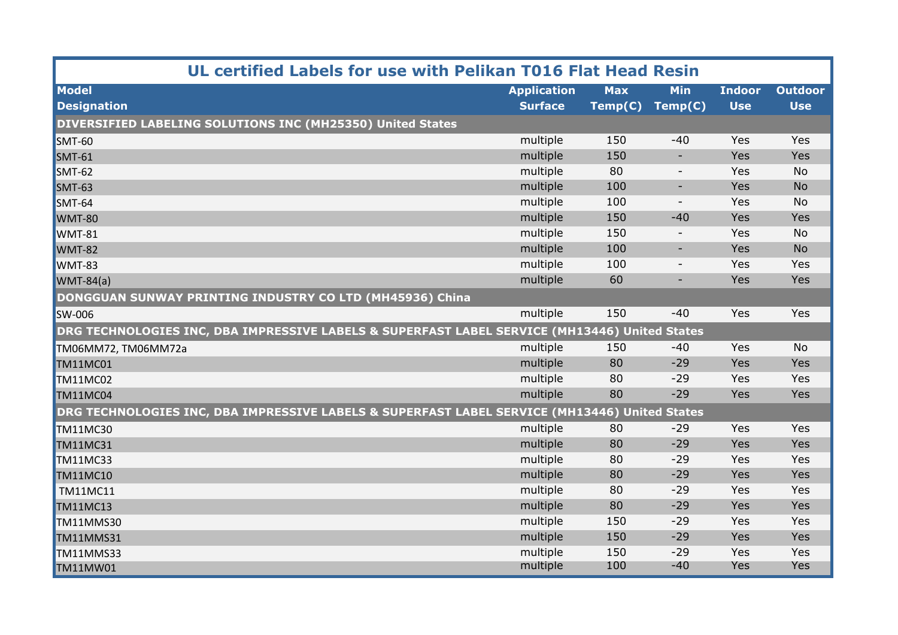| UL certified Labels for use with Pelikan T016 Flat Head Resin                                 |                    |            |                          |               |                |  |
|-----------------------------------------------------------------------------------------------|--------------------|------------|--------------------------|---------------|----------------|--|
| <b>Model</b>                                                                                  | <b>Application</b> | <b>Max</b> | <b>Min</b>               | <b>Indoor</b> | <b>Outdoor</b> |  |
| <b>Designation</b>                                                                            | <b>Surface</b>     | Temp(C)    | Temp(C)                  | <b>Use</b>    | <b>Use</b>     |  |
| DIVERSIFIED LABELING SOLUTIONS INC (MH25350) United States                                    |                    |            |                          |               |                |  |
| <b>SMT-60</b>                                                                                 | multiple           | 150        | $-40$                    | Yes           | Yes            |  |
| <b>SMT-61</b>                                                                                 | multiple           | 150        | $\overline{\phantom{a}}$ | Yes           | Yes            |  |
| <b>SMT-62</b>                                                                                 | multiple           | 80         | $\overline{\phantom{a}}$ | Yes           | <b>No</b>      |  |
| <b>SMT-63</b>                                                                                 | multiple           | 100        | $\overline{\phantom{a}}$ | Yes           | <b>No</b>      |  |
| <b>SMT-64</b>                                                                                 | multiple           | 100        | $\overline{\phantom{a}}$ | Yes           | <b>No</b>      |  |
| <b>WMT-80</b>                                                                                 | multiple           | 150        | $-40$                    | Yes           | Yes            |  |
| <b>WMT-81</b>                                                                                 | multiple           | 150        | $\overline{\phantom{a}}$ | Yes           | <b>No</b>      |  |
| <b>WMT-82</b>                                                                                 | multiple           | 100        | $\overline{\phantom{a}}$ | Yes           | <b>No</b>      |  |
| <b>WMT-83</b>                                                                                 | multiple           | 100        | $\overline{\phantom{a}}$ | Yes           | Yes            |  |
| $WMT-84(a)$                                                                                   | multiple           | 60         | $\overline{\phantom{a}}$ | Yes           | Yes            |  |
| DONGGUAN SUNWAY PRINTING INDUSTRY CO LTD (MH45936) China                                      |                    |            |                          |               |                |  |
| <b>SW-006</b>                                                                                 | multiple           | 150        | $-40$                    | Yes           | Yes            |  |
| DRG TECHNOLOGIES INC, DBA IMPRESSIVE LABELS & SUPERFAST LABEL SERVICE (MH13446) United States |                    |            |                          |               |                |  |
| TM06MM72, TM06MM72a                                                                           | multiple           | 150        | $-40$                    | Yes           | <b>No</b>      |  |
| TM11MC01                                                                                      | multiple           | 80         | $-29$                    | Yes           | Yes            |  |
| <b>TM11MC02</b>                                                                               | multiple           | 80         | $-29$                    | Yes           | Yes            |  |
| TM11MC04                                                                                      | multiple           | 80         | $-29$                    | Yes           | Yes            |  |
| DRG TECHNOLOGIES INC, DBA IMPRESSIVE LABELS & SUPERFAST LABEL SERVICE (MH13446) United States |                    |            |                          |               |                |  |
| TM11MC30                                                                                      | multiple           | 80         | $-29$                    | Yes           | Yes            |  |
| TM11MC31                                                                                      | multiple           | 80         | $-29$                    | Yes           | Yes            |  |
| <b>TM11MC33</b>                                                                               | multiple           | 80         | $-29$                    | Yes           | Yes            |  |
| <b>TM11MC10</b>                                                                               | multiple           | 80         | $-29$                    | Yes           | Yes            |  |
| <b>TM11MC11</b>                                                                               | multiple           | 80         | $-29$                    | Yes           | Yes            |  |
| TM11MC13                                                                                      | multiple           | 80         | $-29$                    | Yes           | Yes            |  |
| TM11MMS30                                                                                     | multiple           | 150        | $-29$                    | Yes           | Yes            |  |
| <b>TM11MMS31</b>                                                                              | multiple           | 150        | $-29$                    | Yes           | Yes            |  |
| TM11MMS33                                                                                     | multiple           | 150        | $-29$                    | Yes           | Yes            |  |
| TM11MW01                                                                                      | multiple           | 100        | $-40$                    | Yes           | Yes            |  |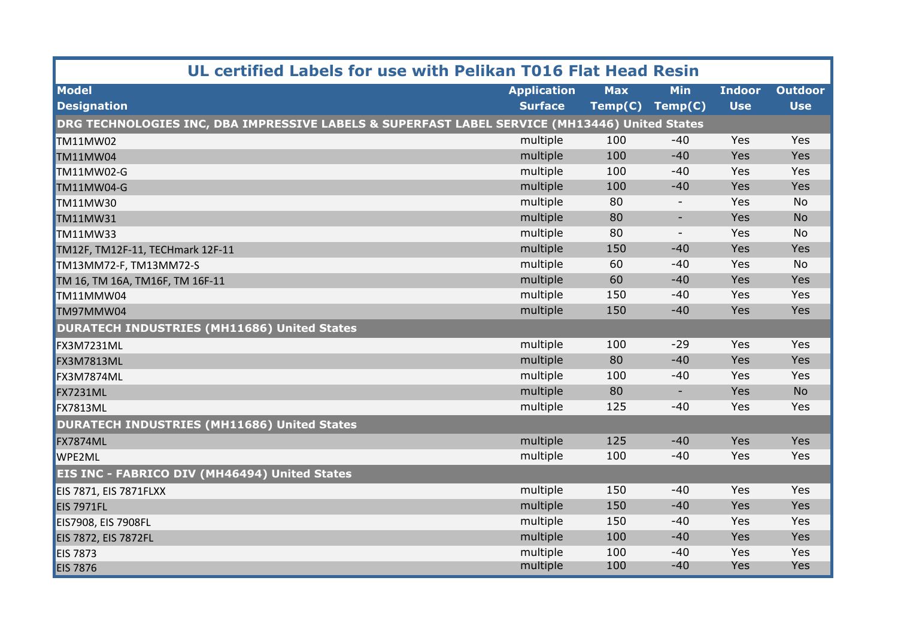| UL certified Labels for use with Pelikan T016 Flat Head Resin                                 |                    |            |                          |               |                |
|-----------------------------------------------------------------------------------------------|--------------------|------------|--------------------------|---------------|----------------|
| <b>Model</b>                                                                                  | <b>Application</b> | <b>Max</b> | <b>Min</b>               | <b>Indoor</b> | <b>Outdoor</b> |
| <b>Designation</b>                                                                            | <b>Surface</b>     | Temp(C)    | Temp(C)                  | <b>Use</b>    | <b>Use</b>     |
| DRG TECHNOLOGIES INC, DBA IMPRESSIVE LABELS & SUPERFAST LABEL SERVICE (MH13446) United States |                    |            |                          |               |                |
| <b>TM11MW02</b>                                                                               | multiple           | 100        | $-40$                    | Yes           | Yes            |
| TM11MW04                                                                                      | multiple           | 100        | $-40$                    | Yes           | Yes            |
| <b>TM11MW02-G</b>                                                                             | multiple           | 100        | $-40$                    | Yes           | Yes            |
| <b>TM11MW04-G</b>                                                                             | multiple           | 100        | $-40$                    | Yes           | Yes            |
| <b>TM11MW30</b>                                                                               | multiple           | 80         |                          | Yes           | <b>No</b>      |
| <b>TM11MW31</b>                                                                               | multiple           | 80         | $\overline{\phantom{a}}$ | Yes           | <b>No</b>      |
| <b>TM11MW33</b>                                                                               | multiple           | 80         | $\sim$                   | Yes           | <b>No</b>      |
| TM12F, TM12F-11, TECHmark 12F-11                                                              | multiple           | 150        | $-40$                    | Yes           | Yes            |
| TM13MM72-F, TM13MM72-S                                                                        | multiple           | 60         | $-40$                    | Yes           | No             |
| TM 16, TM 16A, TM16F, TM 16F-11                                                               | multiple           | 60         | $-40$                    | Yes           | Yes            |
| TM11MMW04                                                                                     | multiple           | 150        | $-40$                    | Yes           | Yes            |
| TM97MMW04                                                                                     | multiple           | 150        | $-40$                    | Yes           | Yes            |
| <b>DURATECH INDUSTRIES (MH11686) United States</b>                                            |                    |            |                          |               |                |
| <b>FX3M7231ML</b>                                                                             | multiple           | 100        | $-29$                    | Yes           | Yes            |
| <b>FX3M7813ML</b>                                                                             | multiple           | 80         | $-40$                    | Yes           | Yes            |
| <b>FX3M7874ML</b>                                                                             | multiple           | 100        | $-40$                    | Yes           | Yes            |
| <b>FX7231ML</b>                                                                               | multiple           | 80         | $\overline{\phantom{a}}$ | Yes           | <b>No</b>      |
| <b>FX7813ML</b>                                                                               | multiple           | 125        | $-40$                    | Yes           | Yes            |
| <b>DURATECH INDUSTRIES (MH11686) United States</b>                                            |                    |            |                          |               |                |
| <b>FX7874ML</b>                                                                               | multiple           | 125        | $-40$                    | Yes           | Yes            |
| <b>WPE2ML</b>                                                                                 | multiple           | 100        | $-40$                    | Yes           | Yes            |
| EIS INC - FABRICO DIV (MH46494) United States                                                 |                    |            |                          |               |                |
| <b>EIS 7871, EIS 7871FLXX</b>                                                                 | multiple           | 150        | $-40$                    | Yes           | Yes            |
| <b>EIS 7971FL</b>                                                                             | multiple           | 150        | $-40$                    | Yes           | Yes            |
| EIS7908, EIS 7908FL                                                                           | multiple           | 150        | $-40$                    | Yes           | Yes            |
| <b>EIS 7872, EIS 7872FL</b>                                                                   | multiple           | 100        | $-40$                    | Yes           | Yes            |
| <b>EIS 7873</b>                                                                               | multiple           | 100        | $-40$                    | Yes           | Yes            |
| <b>EIS 7876</b>                                                                               | multiple           | 100        | $-40$                    | Yes           | Yes            |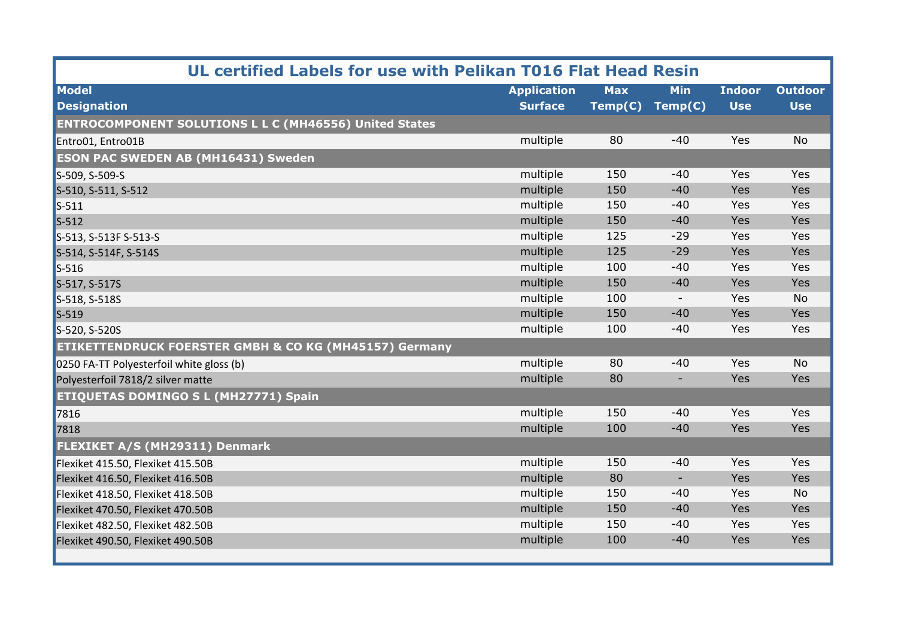| UL certified Labels for use with Pelikan T016 Flat Head Resin     |                    |            |                          |               |                |  |
|-------------------------------------------------------------------|--------------------|------------|--------------------------|---------------|----------------|--|
| <b>Model</b>                                                      | <b>Application</b> | <b>Max</b> | <b>Min</b>               | <b>Indoor</b> | <b>Outdoor</b> |  |
| <b>Designation</b>                                                | <b>Surface</b>     | Temp(C)    | Temp(C)                  | <b>Use</b>    | <b>Use</b>     |  |
| <b>ENTROCOMPONENT SOLUTIONS L L C (MH46556) United States</b>     |                    |            |                          |               |                |  |
| Entro01, Entro01B                                                 | multiple           | 80         | $-40$                    | Yes           | <b>No</b>      |  |
| <b>ESON PAC SWEDEN AB (MH16431) Sweden</b>                        |                    |            |                          |               |                |  |
| S-509, S-509-S                                                    | multiple           | 150        | $-40$                    | Yes           | Yes            |  |
| S-510, S-511, S-512                                               | multiple           | 150        | $-40$                    | Yes           | Yes            |  |
| $S-511$                                                           | multiple           | 150        | $-40$                    | Yes           | Yes            |  |
| $S-512$                                                           | multiple           | 150        | $-40$                    | Yes           | Yes            |  |
| S-513, S-513F S-513-S                                             | multiple           | 125        | $-29$                    | Yes           | Yes            |  |
| S-514, S-514F, S-514S                                             | multiple           | 125        | $-29$                    | Yes           | Yes            |  |
| $S-516$                                                           | multiple           | 100        | $-40$                    | Yes           | Yes            |  |
| S-517, S-517S                                                     | multiple           | 150        | $-40$                    | Yes           | Yes            |  |
| S-518, S-518S                                                     | multiple           | 100        | $\overline{\phantom{a}}$ | Yes           | <b>No</b>      |  |
| $S-519$                                                           | multiple           | 150        | $-40$                    | Yes           | Yes            |  |
| S-520, S-520S                                                     | multiple           | 100        | $-40$                    | Yes           | Yes            |  |
| <b>ETIKETTENDRUCK FOERSTER GMBH &amp; CO KG (MH45157) Germany</b> |                    |            |                          |               |                |  |
| 0250 FA-TT Polyesterfoil white gloss (b)                          | multiple           | 80         | $-40$                    | Yes           | <b>No</b>      |  |
| Polyesterfoil 7818/2 silver matte                                 | multiple           | 80         | $\overline{\phantom{a}}$ | Yes           | Yes            |  |
| <b>ETIQUETAS DOMINGO S L (MH27771) Spain</b>                      |                    |            |                          |               |                |  |
| 7816                                                              | multiple           | 150        | $-40$                    | Yes           | Yes            |  |
| 7818                                                              | multiple           | 100        | $-40$                    | Yes           | Yes            |  |
| FLEXIKET A/S (MH29311) Denmark                                    |                    |            |                          |               |                |  |
| Flexiket 415.50, Flexiket 415.50B                                 | multiple           | 150        | $-40$                    | Yes           | Yes            |  |
| Flexiket 416.50, Flexiket 416.50B                                 | multiple           | 80         | $\overline{\phantom{a}}$ | Yes           | Yes            |  |
| Flexiket 418.50, Flexiket 418.50B                                 | multiple           | 150        | $-40$                    | Yes           | <b>No</b>      |  |
| Flexiket 470.50, Flexiket 470.50B                                 | multiple           | 150        | $-40$                    | Yes           | Yes            |  |
| Flexiket 482.50, Flexiket 482.50B                                 | multiple           | 150        | $-40$                    | Yes           | Yes            |  |
| Flexiket 490.50, Flexiket 490.50B                                 | multiple           | 100        | $-40$                    | Yes           | Yes            |  |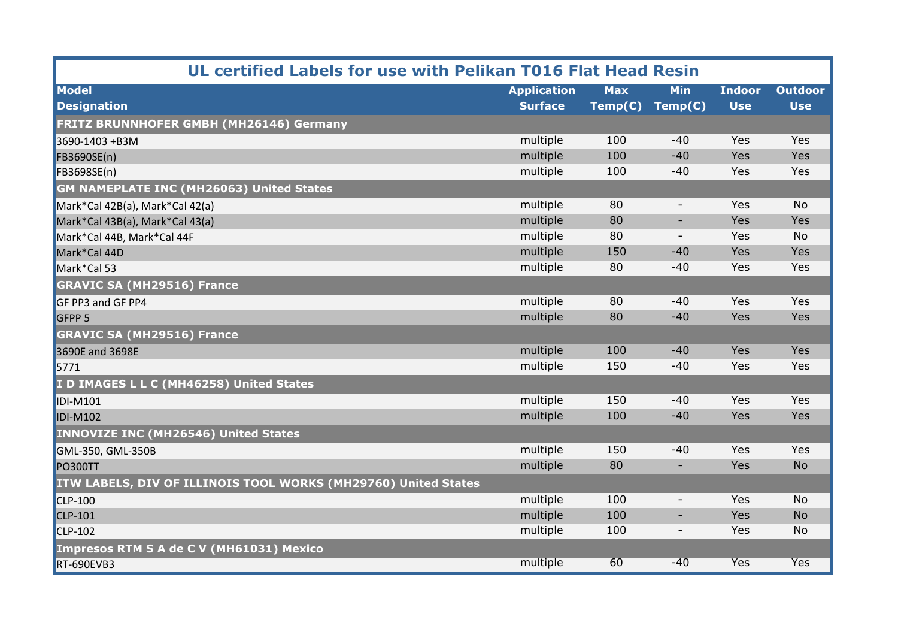| UL certified Labels for use with Pelikan T016 Flat Head Resin  |                    |            |                          |               |                |  |  |
|----------------------------------------------------------------|--------------------|------------|--------------------------|---------------|----------------|--|--|
| <b>Model</b>                                                   | <b>Application</b> | <b>Max</b> | <b>Min</b>               | <b>Indoor</b> | <b>Outdoor</b> |  |  |
| <b>Designation</b>                                             | <b>Surface</b>     | Temp(C)    | Temp(C)                  | <b>Use</b>    | <b>Use</b>     |  |  |
| FRITZ BRUNNHOFER GMBH (MH26146) Germany                        |                    |            |                          |               |                |  |  |
| 3690-1403 +B3M                                                 | multiple           | 100        | $-40$                    | Yes           | Yes            |  |  |
| FB3690SE(n)                                                    | multiple           | 100        | $-40$                    | Yes           | Yes            |  |  |
| FB3698SE(n)                                                    | multiple           | 100        | $-40$                    | Yes           | Yes            |  |  |
| <b>GM NAMEPLATE INC (MH26063) United States</b>                |                    |            |                          |               |                |  |  |
| Mark*Cal 42B(a), Mark*Cal 42(a)                                | multiple           | 80         | $\overline{\phantom{a}}$ | Yes           | <b>No</b>      |  |  |
| Mark*Cal 43B(a), Mark*Cal 43(a)                                | multiple           | 80         | $\overline{\phantom{a}}$ | Yes           | Yes            |  |  |
| Mark*Cal 44B, Mark*Cal 44F                                     | multiple           | 80         | $\overline{\phantom{a}}$ | Yes           | <b>No</b>      |  |  |
| Mark*Cal 44D                                                   | multiple           | 150        | $-40$                    | Yes           | Yes            |  |  |
| Mark*Cal 53                                                    | multiple           | 80         | $-40$                    | Yes           | Yes            |  |  |
| <b>GRAVIC SA (MH29516) France</b>                              |                    |            |                          |               |                |  |  |
| GF PP3 and GF PP4                                              | multiple           | 80         | -40                      | Yes           | Yes            |  |  |
| GFPP <sub>5</sub>                                              | multiple           | 80         | $-40$                    | Yes           | Yes            |  |  |
| <b>GRAVIC SA (MH29516) France</b>                              |                    |            |                          |               |                |  |  |
| 3690E and 3698E                                                | multiple           | 100        | $-40$                    | Yes           | Yes            |  |  |
| 5771                                                           | multiple           | 150        | $-40$                    | Yes           | Yes            |  |  |
| I D IMAGES L L C (MH46258) United States                       |                    |            |                          |               |                |  |  |
| <b>IDI-M101</b>                                                | multiple           | 150        | $-40$                    | Yes           | Yes            |  |  |
| <b>IDI-M102</b>                                                | multiple           | 100        | $-40$                    | Yes           | Yes            |  |  |
| <b>INNOVIZE INC (MH26546) United States</b>                    |                    |            |                          |               |                |  |  |
| GML-350, GML-350B                                              | multiple           | 150        | $-40$                    | Yes           | Yes            |  |  |
| <b>PO300TT</b>                                                 | multiple           | 80         | ٠                        | Yes           | <b>No</b>      |  |  |
| ITW LABELS, DIV OF ILLINOIS TOOL WORKS (MH29760) United States |                    |            |                          |               |                |  |  |
| <b>CLP-100</b>                                                 | multiple           | 100        | $\overline{\phantom{a}}$ | Yes           | <b>No</b>      |  |  |
| <b>CLP-101</b>                                                 | multiple           | 100        | $\overline{\phantom{a}}$ | Yes           | <b>No</b>      |  |  |
| <b>CLP-102</b>                                                 | multiple           | 100        | $\overline{\phantom{a}}$ | Yes           | <b>No</b>      |  |  |
| <b>Impresos RTM S A de C V (MH61031) Mexico</b>                |                    |            |                          |               |                |  |  |
| <b>RT-690EVB3</b>                                              | multiple           | 60         | $-40$                    | <b>Yes</b>    | <b>Yes</b>     |  |  |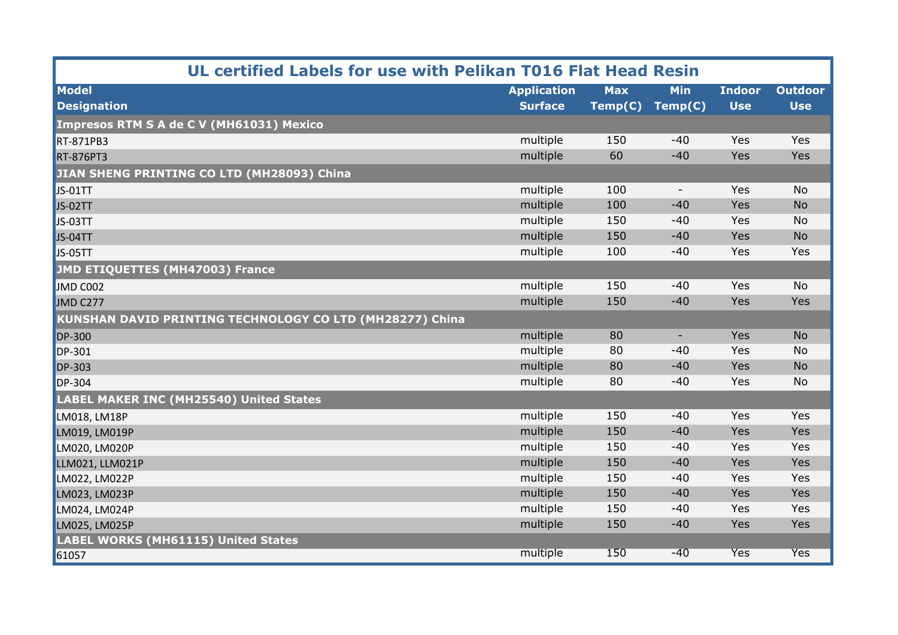| UL certified Labels for use with Pelikan T016 Flat Head Resin   |                    |            |            |               |                |  |
|-----------------------------------------------------------------|--------------------|------------|------------|---------------|----------------|--|
| <b>Model</b>                                                    | <b>Application</b> | <b>Max</b> | <b>Min</b> | <b>Indoor</b> | <b>Outdoor</b> |  |
| <b>Designation</b>                                              | <b>Surface</b>     | Temp(C)    | Temp(C)    | <b>Use</b>    | <b>Use</b>     |  |
| <b>Impresos RTM S A de C V (MH61031) Mexico</b>                 |                    |            |            |               |                |  |
| <b>RT-871PB3</b>                                                | multiple           | 150        | $-40$      | Yes           | Yes            |  |
| <b>RT-876PT3</b>                                                | multiple           | 60         | $-40$      | Yes           | Yes            |  |
| JIAN SHENG PRINTING CO LTD (MH28093) China                      |                    |            |            |               |                |  |
| <b>JS-01TT</b>                                                  | multiple           | 100        | $\sim$     | Yes           | <b>No</b>      |  |
| JS-02TT                                                         | multiple           | 100        | $-40$      | Yes           | <b>No</b>      |  |
| JS-03TT                                                         | multiple           | 150        | $-40$      | Yes           | <b>No</b>      |  |
| <b>JS-04TT</b>                                                  | multiple           | 150        | $-40$      | Yes           | <b>No</b>      |  |
| JS-05TT                                                         | multiple           | 100        | $-40$      | Yes           | Yes            |  |
| <b>JMD ETIQUETTES (MH47003) France</b>                          |                    |            |            |               |                |  |
| JMD C002                                                        | multiple           | 150        | $-40$      | Yes           | <b>No</b>      |  |
| JMD C277                                                        | multiple           | 150        | $-40$      | Yes           | Yes            |  |
| <b>KUNSHAN DAVID PRINTING TECHNOLOGY CO LTD (MH28277) China</b> |                    |            |            |               |                |  |
| <b>DP-300</b>                                                   | multiple           | 80         | ٠          | Yes           | <b>No</b>      |  |
| DP-301                                                          | multiple           | 80         | $-40$      | Yes           | <b>No</b>      |  |
| <b>DP-303</b>                                                   | multiple           | 80         | $-40$      | Yes           | <b>No</b>      |  |
| <b>DP-304</b>                                                   | multiple           | 80         | $-40$      | Yes           | <b>No</b>      |  |
| <b>LABEL MAKER INC (MH25540) United States</b>                  |                    |            |            |               |                |  |
| LM018, LM18P                                                    | multiple           | 150        | $-40$      | Yes           | Yes            |  |
| LM019, LM019P                                                   | multiple           | 150        | $-40$      | Yes           | Yes            |  |
| LM020, LM020P                                                   | multiple           | 150        | $-40$      | Yes           | Yes            |  |
| LLM021, LLM021P                                                 | multiple           | 150        | $-40$      | Yes           | Yes            |  |
| LM022, LM022P                                                   | multiple           | 150        | $-40$      | Yes           | Yes            |  |
| LM023, LM023P                                                   | multiple           | 150        | $-40$      | Yes           | Yes            |  |
| LM024, LM024P                                                   | multiple           | 150        | $-40$      | Yes           | Yes            |  |
| LM025, LM025P                                                   | multiple           | 150        | $-40$      | Yes           | Yes            |  |
| <b>LABEL WORKS (MH61115) United States</b>                      |                    |            |            |               |                |  |
| 61057                                                           | multiple           | 150        | $-40$      | <b>Yes</b>    | <b>Yes</b>     |  |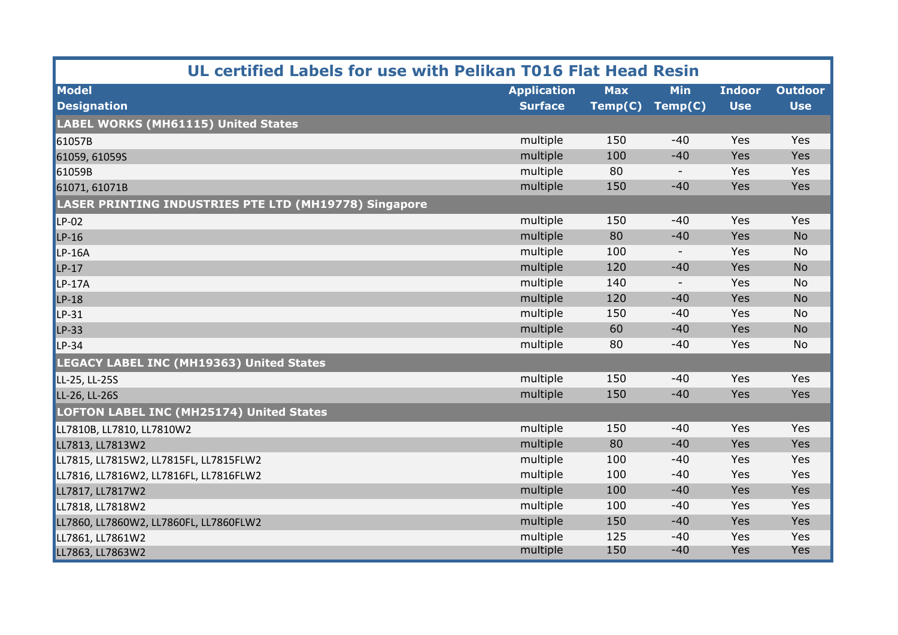| UL certified Labels for use with Pelikan T016 Flat Head Resin |                    |            |                          |               |                |  |
|---------------------------------------------------------------|--------------------|------------|--------------------------|---------------|----------------|--|
| <b>Model</b>                                                  | <b>Application</b> | <b>Max</b> | <b>Min</b>               | <b>Indoor</b> | <b>Outdoor</b> |  |
| <b>Designation</b>                                            | <b>Surface</b>     | Temp(C)    | Temp(C)                  | <b>Use</b>    | <b>Use</b>     |  |
| <b>LABEL WORKS (MH61115) United States</b>                    |                    |            |                          |               |                |  |
| 61057B                                                        | multiple           | 150        | $-40$                    | Yes           | <b>Yes</b>     |  |
| 61059, 61059S                                                 | multiple           | 100        | $-40$                    | Yes           | Yes            |  |
| 61059B                                                        | multiple           | 80         | $\overline{\phantom{a}}$ | Yes           | Yes            |  |
| 61071, 61071B                                                 | multiple           | 150        | $-40$                    | Yes           | Yes            |  |
| <b>LASER PRINTING INDUSTRIES PTE LTD (MH19778) Singapore</b>  |                    |            |                          |               |                |  |
| $LP-02$                                                       | multiple           | 150        | $-40$                    | Yes           | Yes            |  |
| $LP-16$                                                       | multiple           | 80         | $-40$                    | Yes           | <b>No</b>      |  |
| $LP-16A$                                                      | multiple           | 100        | $\overline{\phantom{a}}$ | Yes           | <b>No</b>      |  |
| $LP-17$                                                       | multiple           | 120        | $-40$                    | Yes           | <b>No</b>      |  |
| LP-17A                                                        | multiple           | 140        | $\overline{\phantom{a}}$ | Yes           | No             |  |
| $LP-18$                                                       | multiple           | 120        | $-40$                    | Yes           | <b>No</b>      |  |
| LP-31                                                         | multiple           | 150        | $-40$                    | Yes           | <b>No</b>      |  |
| $LP-33$                                                       | multiple           | 60         | $-40$                    | Yes           | <b>No</b>      |  |
| $LP-34$                                                       | multiple           | 80         | $-40$                    | Yes           | <b>No</b>      |  |
| <b>LEGACY LABEL INC (MH19363) United States</b>               |                    |            |                          |               |                |  |
| LL-25, LL-25S                                                 | multiple           | 150        | $-40$                    | Yes           | Yes            |  |
| LL-26, LL-26S                                                 | multiple           | 150        | $-40$                    | Yes           | Yes            |  |
| <b>LOFTON LABEL INC (MH25174) United States</b>               |                    |            |                          |               |                |  |
| LL7810B, LL7810, LL7810W2                                     | multiple           | 150        | $-40$                    | Yes           | Yes            |  |
| LL7813, LL7813W2                                              | multiple           | 80         | $-40$                    | Yes           | Yes            |  |
| LL7815, LL7815W2, LL7815FL, LL7815FLW2                        | multiple           | 100        | $-40$                    | Yes           | Yes            |  |
| LL7816, LL7816W2, LL7816FL, LL7816FLW2                        | multiple           | 100        | $-40$                    | Yes           | Yes            |  |
| LL7817, LL7817W2                                              | multiple           | 100        | $-40$                    | Yes           | Yes            |  |
| LL7818, LL7818W2                                              | multiple           | 100        | $-40$                    | Yes           | Yes            |  |
| LL7860, LL7860W2, LL7860FL, LL7860FLW2                        | multiple           | 150        | $-40$                    | Yes           | Yes            |  |
| LL7861, LL7861W2                                              | multiple           | 125        | $-40$                    | Yes           | Yes            |  |
| LL7863, LL7863W2                                              | multiple           | 150        | $-40$                    | Yes           | Yes            |  |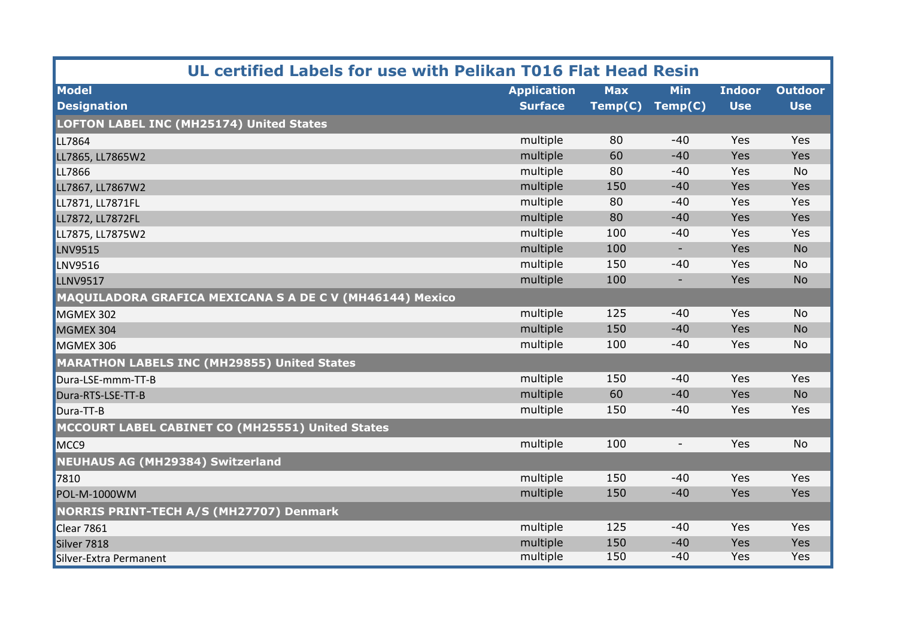| UL certified Labels for use with Pelikan T016 Flat Head Resin |                    |            |                          |               |                |  |  |
|---------------------------------------------------------------|--------------------|------------|--------------------------|---------------|----------------|--|--|
| <b>Model</b>                                                  | <b>Application</b> | <b>Max</b> | <b>Min</b>               | <b>Indoor</b> | <b>Outdoor</b> |  |  |
| <b>Designation</b>                                            | <b>Surface</b>     | Temp(C)    | Temp(C)                  | <b>Use</b>    | <b>Use</b>     |  |  |
| LOFTON LABEL INC (MH25174) United States                      |                    |            |                          |               |                |  |  |
| LL7864                                                        | multiple           | 80         | $-40$                    | Yes           | Yes            |  |  |
| LL7865, LL7865W2                                              | multiple           | 60         | $-40$                    | Yes           | Yes            |  |  |
| LL7866                                                        | multiple           | 80         | $-40$                    | Yes           | <b>No</b>      |  |  |
| LL7867, LL7867W2                                              | multiple           | 150        | $-40$                    | Yes           | Yes            |  |  |
| LL7871, LL7871FL                                              | multiple           | 80         | $-40$                    | Yes           | Yes            |  |  |
| LL7872, LL7872FL                                              | multiple           | 80         | $-40$                    | Yes           | Yes            |  |  |
| LL7875, LL7875W2                                              | multiple           | 100        | $-40$                    | Yes           | Yes            |  |  |
| <b>LNV9515</b>                                                | multiple           | 100        | $\overline{\phantom{a}}$ | Yes           | <b>No</b>      |  |  |
| LNV9516                                                       | multiple           | 150        | $-40$                    | Yes           | <b>No</b>      |  |  |
| <b>LLNV9517</b>                                               | multiple           | 100        | $\overline{\phantom{a}}$ | Yes           | <b>No</b>      |  |  |
| MAQUILADORA GRAFICA MEXICANA S A DE C V (MH46144) Mexico      |                    |            |                          |               |                |  |  |
| MGMEX 302                                                     | multiple           | 125        | $-40$                    | Yes           | <b>No</b>      |  |  |
| MGMEX 304                                                     | multiple           | 150        | $-40$                    | Yes           | <b>No</b>      |  |  |
| MGMEX 306                                                     | multiple           | 100        | $-40$                    | Yes           | <b>No</b>      |  |  |
| <b>MARATHON LABELS INC (MH29855) United States</b>            |                    |            |                          |               |                |  |  |
| Dura-LSE-mmm-TT-B                                             | multiple           | 150        | $-40$                    | Yes           | Yes            |  |  |
| Dura-RTS-LSE-TT-B                                             | multiple           | 60         | $-40$                    | Yes           | <b>No</b>      |  |  |
| Dura-TT-B                                                     | multiple           | 150        | $-40$                    | Yes           | Yes            |  |  |
| MCCOURT LABEL CABINET CO (MH25551) United States              |                    |            |                          |               |                |  |  |
| MCC <sub>9</sub>                                              | multiple           | 100        | $\overline{\phantom{a}}$ | Yes           | <b>No</b>      |  |  |
| <b>NEUHAUS AG (MH29384) Switzerland</b>                       |                    |            |                          |               |                |  |  |
| 7810                                                          | multiple           | 150        | $-40$                    | Yes           | Yes            |  |  |
| <b>POL-M-1000WM</b>                                           | multiple           | 150        | $-40$                    | Yes           | Yes            |  |  |
| <b>NORRIS PRINT-TECH A/S (MH27707) Denmark</b>                |                    |            |                          |               |                |  |  |
| <b>Clear 7861</b>                                             | multiple           | 125        | $-40$                    | Yes           | Yes            |  |  |
| Silver 7818                                                   | multiple           | 150        | $-40$                    | Yes           | Yes            |  |  |
| Silver-Extra Permanent                                        | multiple           | 150        | $-40$                    | Yes           | Yes            |  |  |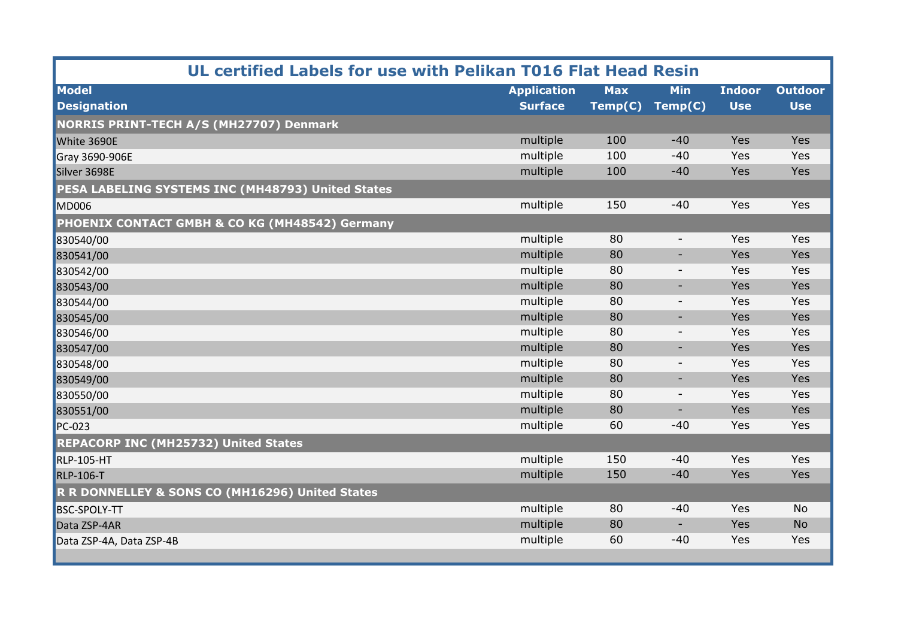| UL certified Labels for use with Pelikan T016 Flat Head Resin |                    |            |                          |               |                |  |
|---------------------------------------------------------------|--------------------|------------|--------------------------|---------------|----------------|--|
| <b>Model</b>                                                  | <b>Application</b> | <b>Max</b> | <b>Min</b>               | <b>Indoor</b> | <b>Outdoor</b> |  |
| <b>Designation</b>                                            | <b>Surface</b>     | Temp(C)    | Temp(C)                  | <b>Use</b>    | <b>Use</b>     |  |
| <b>NORRIS PRINT-TECH A/S (MH27707) Denmark</b>                |                    |            |                          |               |                |  |
| White 3690E                                                   | multiple           | 100        | $-40$                    | Yes           | Yes            |  |
| Gray 3690-906E                                                | multiple           | 100        | $-40$                    | Yes           | Yes            |  |
| Silver 3698E                                                  | multiple           | 100        | $-40$                    | Yes           | Yes            |  |
| PESA LABELING SYSTEMS INC (MH48793) United States             |                    |            |                          |               |                |  |
| <b>MD006</b>                                                  | multiple           | 150        | $-40$                    | Yes           | Yes            |  |
| PHOENIX CONTACT GMBH & CO KG (MH48542) Germany                |                    |            |                          |               |                |  |
| 830540/00                                                     | multiple           | 80         | $\overline{\phantom{a}}$ | Yes           | Yes            |  |
| 830541/00                                                     | multiple           | 80         | $\overline{\phantom{a}}$ | Yes           | Yes            |  |
| 830542/00                                                     | multiple           | 80         | $\overline{\phantom{a}}$ | Yes           | Yes            |  |
| 830543/00                                                     | multiple           | 80         | ٠                        | Yes           | Yes            |  |
| 830544/00                                                     | multiple           | 80         | $\overline{\phantom{a}}$ | Yes           | Yes            |  |
| 830545/00                                                     | multiple           | 80         | $\overline{\phantom{a}}$ | Yes           | Yes            |  |
| 830546/00                                                     | multiple           | 80         | $\overline{\phantom{a}}$ | Yes           | Yes            |  |
| 830547/00                                                     | multiple           | 80         | $\sim$                   | Yes           | Yes            |  |
| 830548/00                                                     | multiple           | 80         | $\overline{\phantom{a}}$ | Yes           | Yes            |  |
| 830549/00                                                     | multiple           | 80         | ٠                        | Yes           | Yes            |  |
| 830550/00                                                     | multiple           | 80         | $\overline{\phantom{a}}$ | Yes           | Yes            |  |
| 830551/00                                                     | multiple           | 80         | $\sim$                   | Yes           | Yes            |  |
| PC-023                                                        | multiple           | 60         | $-40$                    | Yes           | Yes            |  |
| <b>REPACORP INC (MH25732) United States</b>                   |                    |            |                          |               |                |  |
| <b>RLP-105-HT</b>                                             | multiple           | 150        | $-40$                    | Yes           | Yes            |  |
| <b>RLP-106-T</b>                                              | multiple           | 150        | $-40$                    | Yes           | Yes            |  |
| R R DONNELLEY & SONS CO (MH16296) United States               |                    |            |                          |               |                |  |
| <b>BSC-SPOLY-TT</b>                                           | multiple           | 80         | $-40$                    | Yes           | <b>No</b>      |  |
| Data ZSP-4AR                                                  | multiple           | 80         | $\sim$                   | Yes           | <b>No</b>      |  |
| Data ZSP-4A, Data ZSP-4B                                      | multiple           | 60         | $-40$                    | Yes           | Yes            |  |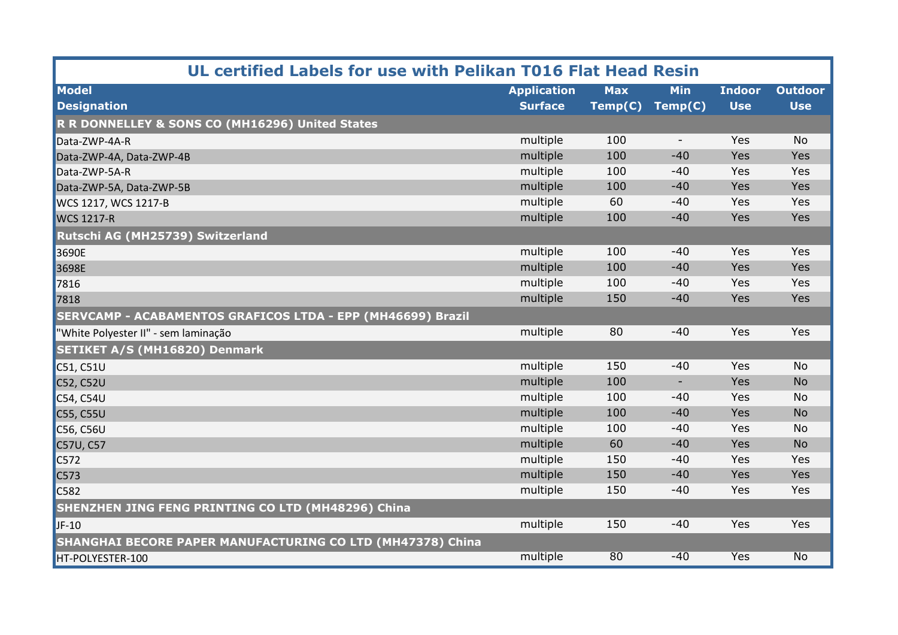| UL certified Labels for use with Pelikan T016 Flat Head Resin     |                    |            |                          |               |                 |  |  |
|-------------------------------------------------------------------|--------------------|------------|--------------------------|---------------|-----------------|--|--|
| <b>Model</b>                                                      | <b>Application</b> | <b>Max</b> | <b>Min</b>               | <b>Indoor</b> | <b>Outdoor</b>  |  |  |
| <b>Designation</b>                                                | <b>Surface</b>     | Temp(C)    | Temp(C)                  | <b>Use</b>    | <b>Use</b>      |  |  |
| R R DONNELLEY & SONS CO (MH16296) United States                   |                    |            |                          |               |                 |  |  |
| Data-ZWP-4A-R                                                     | multiple           | 100        | $\overline{\phantom{a}}$ | Yes           | <b>No</b>       |  |  |
| Data-ZWP-4A, Data-ZWP-4B                                          | multiple           | 100        | $-40$                    | Yes           | Yes             |  |  |
| Data-ZWP-5A-R                                                     | multiple           | 100        | $-40$                    | Yes           | Yes             |  |  |
| Data-ZWP-5A, Data-ZWP-5B                                          | multiple           | 100        | $-40$                    | Yes           | Yes             |  |  |
| WCS 1217, WCS 1217-B                                              | multiple           | 60         | $-40$                    | Yes           | Yes             |  |  |
| <b>WCS 1217-R</b>                                                 | multiple           | 100        | $-40$                    | Yes           | Yes             |  |  |
| Rutschi AG (MH25739) Switzerland                                  |                    |            |                          |               |                 |  |  |
| 3690E                                                             | multiple           | 100        | $-40$                    | Yes           | Yes             |  |  |
| 3698E                                                             | multiple           | 100        | $-40$                    | Yes           | Yes             |  |  |
| 7816                                                              | multiple           | 100        | $-40$                    | Yes           | Yes             |  |  |
| 7818                                                              | multiple           | 150        | $-40$                    | Yes           | Yes             |  |  |
| SERVCAMP - ACABAMENTOS GRAFICOS LTDA - EPP (MH46699) Brazil       |                    |            |                          |               |                 |  |  |
| "White Polyester II" - sem laminação                              | multiple           | 80         | $-40$                    | Yes           | Yes             |  |  |
| <b>SETIKET A/S (MH16820) Denmark</b>                              |                    |            |                          |               |                 |  |  |
| C51, C51U                                                         | multiple           | 150        | $-40$                    | Yes           | <b>No</b>       |  |  |
| <b>C52, C52U</b>                                                  | multiple           | 100        | $\blacksquare$           | Yes           | <b>No</b>       |  |  |
| C54, C54U                                                         | multiple           | 100        | $-40$                    | Yes           | <b>No</b>       |  |  |
| <b>C55, C55U</b>                                                  | multiple           | 100        | $-40$                    | Yes           | <b>No</b>       |  |  |
| C56, C56U                                                         | multiple           | 100        | $-40$                    | Yes           | No              |  |  |
| C57U, C57                                                         | multiple           | 60         | $-40$                    | Yes           | <b>No</b>       |  |  |
| C572                                                              | multiple           | 150        | $-40$                    | Yes           | Yes             |  |  |
| C573                                                              | multiple           | 150        | $-40$                    | Yes           | Yes             |  |  |
| C <sub>582</sub>                                                  | multiple           | 150        | $-40$                    | Yes           | Yes             |  |  |
| <b>SHENZHEN JING FENG PRINTING CO LTD (MH48296) China</b>         |                    |            |                          |               |                 |  |  |
| $JF-10$                                                           | multiple           | 150        | $-40$                    | Yes           | Yes             |  |  |
| <b>SHANGHAI BECORE PAPER MANUFACTURING CO LTD (MH47378) China</b> |                    |            |                          |               |                 |  |  |
| HT-POLYESTER-100                                                  | multiple           | 80         | $-40$                    | <b>Yes</b>    | $\overline{No}$ |  |  |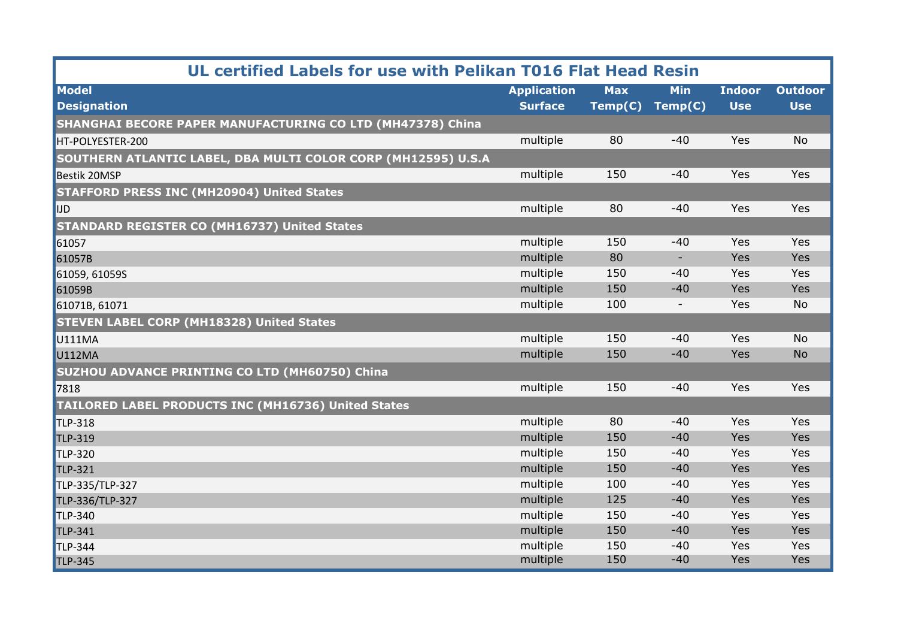| UL certified Labels for use with Pelikan T016 Flat Head Resin |                    |            |                          |               |                |  |  |
|---------------------------------------------------------------|--------------------|------------|--------------------------|---------------|----------------|--|--|
| <b>Model</b>                                                  | <b>Application</b> | <b>Max</b> | <b>Min</b>               | <b>Indoor</b> | <b>Outdoor</b> |  |  |
| <b>Designation</b>                                            | <b>Surface</b>     | Temp(C)    | Temp(C)                  | <b>Use</b>    | <b>Use</b>     |  |  |
| SHANGHAI BECORE PAPER MANUFACTURING CO LTD (MH47378) China    |                    |            |                          |               |                |  |  |
| HT-POLYESTER-200                                              | multiple           | 80         | $-40$                    | Yes           | <b>No</b>      |  |  |
| SOUTHERN ATLANTIC LABEL, DBA MULTI COLOR CORP (MH12595) U.S.A |                    |            |                          |               |                |  |  |
| Bestik 20MSP                                                  | multiple           | 150        | $-40$                    | Yes           | Yes            |  |  |
| <b>STAFFORD PRESS INC (MH20904) United States</b>             |                    |            |                          |               |                |  |  |
| <b>IJD</b>                                                    | multiple           | 80         | $-40$                    | Yes           | Yes            |  |  |
| <b>STANDARD REGISTER CO (MH16737) United States</b>           |                    |            |                          |               |                |  |  |
| 61057                                                         | multiple           | 150        | $-40$                    | Yes           | Yes            |  |  |
| 61057B                                                        | multiple           | 80         | ٠                        | Yes           | Yes            |  |  |
| 61059, 61059S                                                 | multiple           | 150        | $-40$                    | Yes           | Yes            |  |  |
| 61059B                                                        | multiple           | 150        | $-40$                    | Yes           | Yes            |  |  |
| 61071B, 61071                                                 | multiple           | 100        | $\overline{\phantom{a}}$ | Yes           | No             |  |  |
| <b>STEVEN LABEL CORP (MH18328) United States</b>              |                    |            |                          |               |                |  |  |
| <b>U111MA</b>                                                 | multiple           | 150        | $-40$                    | Yes           | <b>No</b>      |  |  |
| <b>U112MA</b>                                                 | multiple           | 150        | $-40$                    | Yes           | <b>No</b>      |  |  |
| SUZHOU ADVANCE PRINTING CO LTD (MH60750) China                |                    |            |                          |               |                |  |  |
| 7818                                                          | multiple           | 150        | $-40$                    | Yes           | Yes            |  |  |
| TAILORED LABEL PRODUCTS INC (MH16736) United States           |                    |            |                          |               |                |  |  |
| <b>TLP-318</b>                                                | multiple           | 80         | $-40$                    | Yes           | Yes            |  |  |
| TLP-319                                                       | multiple           | 150        | $-40$                    | Yes           | Yes            |  |  |
| <b>TLP-320</b>                                                | multiple           | 150        | $-40$                    | Yes           | Yes            |  |  |
| <b>TLP-321</b>                                                | multiple           | 150        | $-40$                    | Yes           | Yes            |  |  |
| TLP-335/TLP-327                                               | multiple           | 100        | $-40$                    | Yes           | Yes            |  |  |
| TLP-336/TLP-327                                               | multiple           | 125        | $-40$                    | Yes           | Yes            |  |  |
| <b>TLP-340</b>                                                | multiple           | 150        | $-40$                    | Yes           | Yes            |  |  |
| <b>TLP-341</b>                                                | multiple           | 150        | $-40$                    | Yes           | Yes            |  |  |
| <b>TLP-344</b>                                                | multiple           | 150        | $-40$                    | Yes           | Yes            |  |  |
| <b>TLP-345</b>                                                | multiple           | 150        | $-40$                    | Yes           | Yes            |  |  |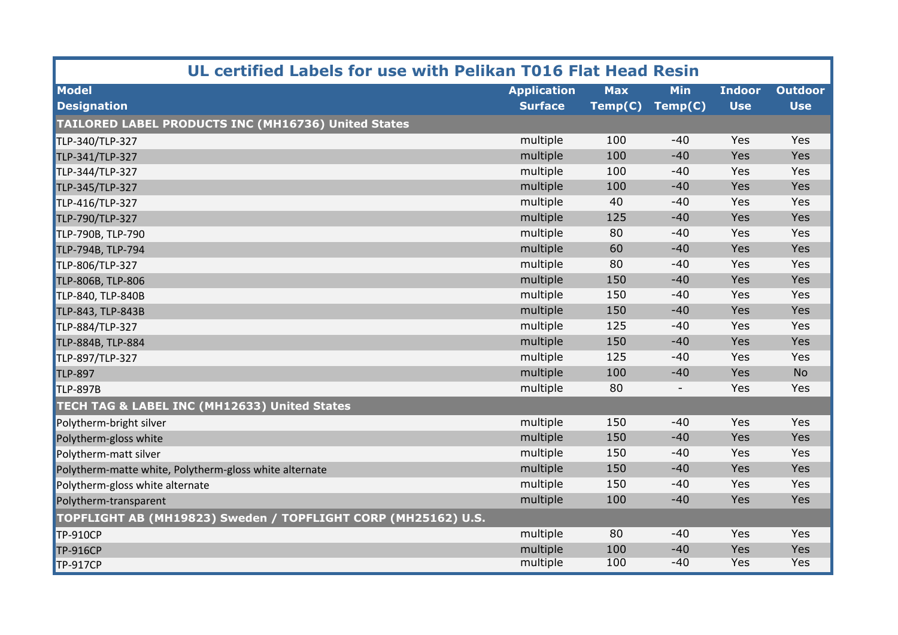| UL certified Labels for use with Pelikan T016 Flat Head Resin |                    |            |                          |               |                |  |  |
|---------------------------------------------------------------|--------------------|------------|--------------------------|---------------|----------------|--|--|
| <b>Model</b>                                                  | <b>Application</b> | <b>Max</b> | <b>Min</b>               | <b>Indoor</b> | <b>Outdoor</b> |  |  |
| <b>Designation</b>                                            | <b>Surface</b>     | Temp(C)    | Temp(C)                  | <b>Use</b>    | <b>Use</b>     |  |  |
| TAILORED LABEL PRODUCTS INC (MH16736) United States           |                    |            |                          |               |                |  |  |
| TLP-340/TLP-327                                               | multiple           | 100        | $-40$                    | Yes           | Yes            |  |  |
| TLP-341/TLP-327                                               | multiple           | 100        | $-40$                    | Yes           | Yes            |  |  |
| TLP-344/TLP-327                                               | multiple           | 100        | $-40$                    | Yes           | Yes            |  |  |
| TLP-345/TLP-327                                               | multiple           | 100        | $-40$                    | Yes           | Yes            |  |  |
| TLP-416/TLP-327                                               | multiple           | 40         | $-40$                    | Yes           | Yes            |  |  |
| TLP-790/TLP-327                                               | multiple           | 125        | $-40$                    | Yes           | Yes            |  |  |
| TLP-790B, TLP-790                                             | multiple           | 80         | $-40$                    | Yes           | Yes            |  |  |
| TLP-794B, TLP-794                                             | multiple           | 60         | $-40$                    | Yes           | Yes            |  |  |
| TLP-806/TLP-327                                               | multiple           | 80         | $-40$                    | Yes           | Yes            |  |  |
| TLP-806B, TLP-806                                             | multiple           | 150        | $-40$                    | Yes           | Yes            |  |  |
| TLP-840, TLP-840B                                             | multiple           | 150        | $-40$                    | Yes           | Yes            |  |  |
| TLP-843, TLP-843B                                             | multiple           | 150        | $-40$                    | Yes           | Yes            |  |  |
| TLP-884/TLP-327                                               | multiple           | 125        | $-40$                    | Yes           | Yes            |  |  |
| TLP-884B, TLP-884                                             | multiple           | 150        | $-40$                    | Yes           | Yes            |  |  |
| TLP-897/TLP-327                                               | multiple           | 125        | $-40$                    | Yes           | Yes            |  |  |
| <b>TLP-897</b>                                                | multiple           | 100        | $-40$                    | Yes           | <b>No</b>      |  |  |
| <b>TLP-897B</b>                                               | multiple           | 80         | $\overline{\phantom{a}}$ | Yes           | Yes            |  |  |
| TECH TAG & LABEL INC (MH12633) United States                  |                    |            |                          |               |                |  |  |
| Polytherm-bright silver                                       | multiple           | 150        | $-40$                    | Yes           | Yes            |  |  |
| Polytherm-gloss white                                         | multiple           | 150        | $-40$                    | Yes           | Yes            |  |  |
| Polytherm-matt silver                                         | multiple           | 150        | $-40$                    | Yes           | Yes            |  |  |
| Polytherm-matte white, Polytherm-gloss white alternate        | multiple           | 150        | $-40$                    | Yes           | Yes            |  |  |
| Polytherm-gloss white alternate                               | multiple           | 150        | $-40$                    | Yes           | Yes            |  |  |
| Polytherm-transparent                                         | multiple           | 100        | $-40$                    | Yes           | Yes            |  |  |
| TOPFLIGHT AB (MH19823) Sweden / TOPFLIGHT CORP (MH25162) U.S. |                    |            |                          |               |                |  |  |
| <b>TP-910CP</b>                                               | multiple           | 80         | $-40$                    | Yes           | Yes            |  |  |
| <b>TP-916CP</b>                                               | multiple           | 100        | $-40$                    | Yes           | Yes            |  |  |
| <b>TP-917CP</b>                                               | multiple           | 100        | $-40$                    | Yes           | Yes            |  |  |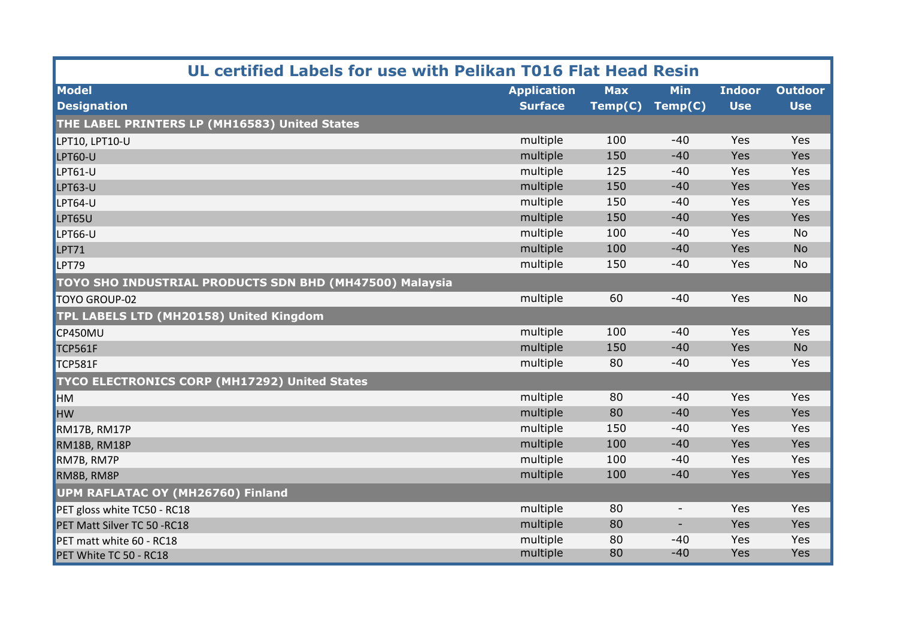| UL certified Labels for use with Pelikan T016 Flat Head Resin |                    |            |                          |               |                |  |
|---------------------------------------------------------------|--------------------|------------|--------------------------|---------------|----------------|--|
| <b>Model</b>                                                  | <b>Application</b> | <b>Max</b> | <b>Min</b>               | <b>Indoor</b> | <b>Outdoor</b> |  |
| <b>Designation</b>                                            | <b>Surface</b>     | Temp(C)    | Temp(C)                  | <b>Use</b>    | <b>Use</b>     |  |
| THE LABEL PRINTERS LP (MH16583) United States                 |                    |            |                          |               |                |  |
| LPT10, LPT10-U                                                | multiple           | 100        | $-40$                    | Yes           | Yes            |  |
| <b>LPT60-U</b>                                                | multiple           | 150        | $-40$                    | Yes           | Yes            |  |
| <b>LPT61-U</b>                                                | multiple           | 125        | $-40$                    | Yes           | Yes            |  |
| <b>LPT63-U</b>                                                | multiple           | 150        | $-40$                    | Yes           | Yes            |  |
| <b>LPT64-U</b>                                                | multiple           | 150        | $-40$                    | Yes           | Yes            |  |
| LPT65U                                                        | multiple           | 150        | $-40$                    | Yes           | Yes            |  |
| <b>LPT66-U</b>                                                | multiple           | 100        | $-40$                    | Yes           | No             |  |
| <b>LPT71</b>                                                  | multiple           | 100        | $-40$                    | Yes           | <b>No</b>      |  |
| LPT79                                                         | multiple           | 150        | $-40$                    | Yes           | <b>No</b>      |  |
| TOYO SHO INDUSTRIAL PRODUCTS SDN BHD (MH47500) Malaysia       |                    |            |                          |               |                |  |
| <b>TOYO GROUP-02</b>                                          | multiple           | 60         | $-40$                    | Yes           | <b>No</b>      |  |
| TPL LABELS LTD (MH20158) United Kingdom                       |                    |            |                          |               |                |  |
| CP450MU                                                       | multiple           | 100        | $-40$                    | Yes           | Yes            |  |
| <b>TCP561F</b>                                                | multiple           | 150        | $-40$                    | Yes           | <b>No</b>      |  |
| <b>TCP581F</b>                                                | multiple           | 80         | $-40$                    | Yes           | Yes            |  |
| <b>TYCO ELECTRONICS CORP (MH17292) United States</b>          |                    |            |                          |               |                |  |
| <b>HM</b>                                                     | multiple           | 80         | $-40$                    | Yes           | Yes            |  |
| <b>HW</b>                                                     | multiple           | 80         | $-40$                    | Yes           | Yes            |  |
| RM17B, RM17P                                                  | multiple           | 150        | $-40$                    | Yes           | Yes            |  |
| RM18B, RM18P                                                  | multiple           | 100        | $-40$                    | Yes           | Yes            |  |
| RM7B, RM7P                                                    | multiple           | 100        | $-40$                    | Yes           | Yes            |  |
| RM8B, RM8P                                                    | multiple           | 100        | $-40$                    | Yes           | Yes            |  |
| UPM RAFLATAC OY (MH26760) Finland                             |                    |            |                          |               |                |  |
| PET gloss white TC50 - RC18                                   | multiple           | 80         | $\overline{\phantom{a}}$ | Yes           | Yes            |  |
| PET Matt Silver TC 50 - RC18                                  | multiple           | 80         | $\overline{\phantom{a}}$ | Yes           | Yes            |  |
| PET matt white 60 - RC18                                      | multiple           | 80         | $-40$                    | Yes           | Yes            |  |
| PET White TC 50 - RC18                                        | multiple           | 80         | $-40$                    | Yes           | Yes            |  |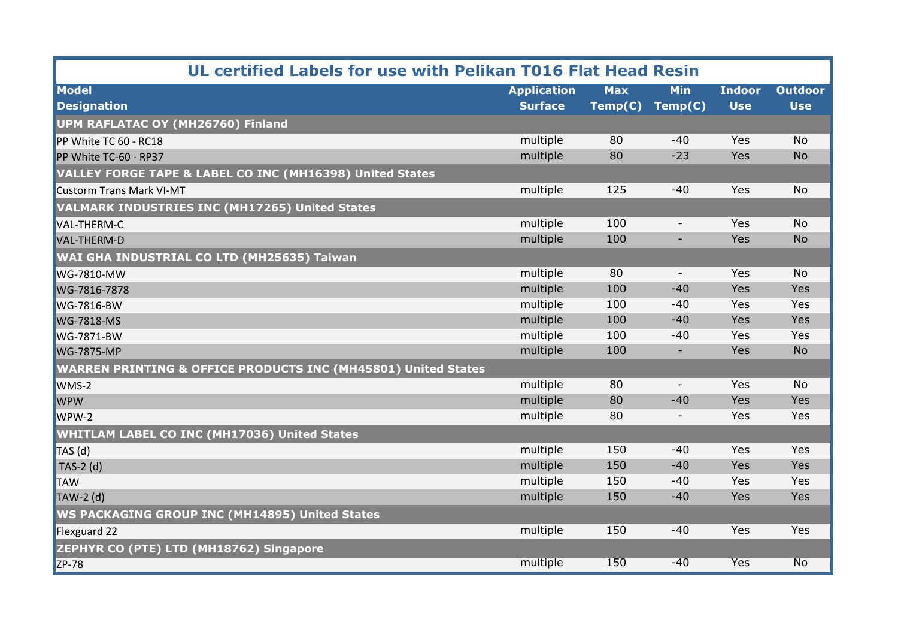| UL certified Labels for use with Pelikan T016 Flat Head Resin            |                    |            |                          |               |                    |  |  |
|--------------------------------------------------------------------------|--------------------|------------|--------------------------|---------------|--------------------|--|--|
| <b>Model</b>                                                             | <b>Application</b> | <b>Max</b> | <b>Min</b>               | <b>Indoor</b> | <b>Outdoor</b>     |  |  |
| <b>Designation</b>                                                       | <b>Surface</b>     | Temp(C)    | Temp(C)                  | <b>Use</b>    | <b>Use</b>         |  |  |
| UPM RAFLATAC OY (MH26760) Finland                                        |                    |            |                          |               |                    |  |  |
| PP White TC 60 - RC18                                                    | multiple           | 80         | $-40$                    | Yes           | <b>No</b>          |  |  |
| PP White TC-60 - RP37                                                    | multiple           | 80         | $-23$                    | Yes           | <b>No</b>          |  |  |
| VALLEY FORGE TAPE & LABEL CO INC (MH16398) United States                 |                    |            |                          |               |                    |  |  |
| <b>Custorm Trans Mark VI-MT</b>                                          | multiple           | 125        | $-40$                    | Yes           | <b>No</b>          |  |  |
| <b>VALMARK INDUSTRIES INC (MH17265) United States</b>                    |                    |            |                          |               |                    |  |  |
| <b>VAL-THERM-C</b>                                                       | multiple           | 100        | $\overline{\phantom{a}}$ | Yes           | <b>No</b>          |  |  |
| VAL-THERM-D                                                              | multiple           | 100        | ٠                        | Yes           | <b>No</b>          |  |  |
| <b>WAI GHA INDUSTRIAL CO LTD (MH25635) Taiwan</b>                        |                    |            |                          |               |                    |  |  |
| <b>WG-7810-MW</b>                                                        | multiple           | 80         | $\overline{\phantom{a}}$ | Yes           | <b>No</b>          |  |  |
| WG-7816-7878                                                             | multiple           | 100        | $-40$                    | Yes           | Yes                |  |  |
| <b>WG-7816-BW</b>                                                        | multiple           | 100        | $-40$                    | Yes           | Yes                |  |  |
| <b>WG-7818-MS</b>                                                        | multiple           | 100        | $-40$                    | Yes           | Yes                |  |  |
| <b>WG-7871-BW</b>                                                        | multiple           | 100        | $-40$                    | Yes           | Yes                |  |  |
| <b>WG-7875-MP</b>                                                        | multiple           | 100        | $\overline{\phantom{a}}$ | Yes           | <b>No</b>          |  |  |
| <b>WARREN PRINTING &amp; OFFICE PRODUCTS INC (MH45801) United States</b> |                    |            |                          |               |                    |  |  |
| WMS-2                                                                    | multiple           | 80         | $\overline{\phantom{a}}$ | Yes           | <b>No</b>          |  |  |
| <b>WPW</b>                                                               | multiple           | 80         | $-40$                    | Yes           | Yes                |  |  |
| WPW-2                                                                    | multiple           | 80         | $\overline{\phantom{a}}$ | Yes           | Yes                |  |  |
| <b>WHITLAM LABEL CO INC (MH17036) United States</b>                      |                    |            |                          |               |                    |  |  |
| $TAS$ (d)                                                                | multiple           | 150        | $-40$                    | Yes           | Yes                |  |  |
| TAS-2 $(d)$                                                              | multiple           | 150        | $-40$                    | Yes           | Yes                |  |  |
| <b>TAW</b>                                                               | multiple           | 150        | $-40$                    | Yes           | Yes                |  |  |
| $\sqrt{\text{TAW-2}}$ (d)                                                | multiple           | 150        | $-40$                    | Yes           | Yes                |  |  |
| <b>WS PACKAGING GROUP INC (MH14895) United States</b>                    |                    |            |                          |               |                    |  |  |
| Flexguard 22                                                             | multiple           | 150        | $-40$                    | Yes           | Yes                |  |  |
| ZEPHYR CO (PTE) LTD (MH18762) Singapore                                  |                    |            |                          |               |                    |  |  |
| ZP-78                                                                    | multiple           | 150        | $-40$                    | <b>Yes</b>    | $\overline{N_{O}}$ |  |  |